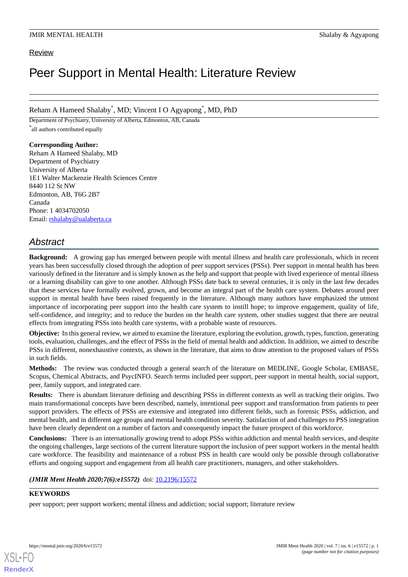## Review

# Peer Support in Mental Health: Literature Review

Reham A Hameed Shalaby\* , MD; Vincent I O Agyapong\* , MD, PhD

Department of Psychiatry, University of Alberta, Edmonton, AB, Canada \* all authors contributed equally

## **Corresponding Author:**

Reham A Hameed Shalaby, MD Department of Psychiatry University of Alberta 1E1 Walter Mackenzie Health Sciences Centre 8440 112 St NW Edmonton, AB, T6G 2B7 Canada Phone: 1 4034702050 Email: [rshalaby@ualaberta.ca](mailto:rshalaby@ualaberta.ca)

## *Abstract*

**Background:** A growing gap has emerged between people with mental illness and health care professionals, which in recent years has been successfully closed through the adoption of peer support services (PSSs). Peer support in mental health has been variously defined in the literature and is simply known as the help and support that people with lived experience of mental illness or a learning disability can give to one another. Although PSSs date back to several centuries, it is only in the last few decades that these services have formally evolved, grown, and become an integral part of the health care system. Debates around peer support in mental health have been raised frequently in the literature. Although many authors have emphasized the utmost importance of incorporating peer support into the health care system to instill hope; to improve engagement, quality of life, self-confidence, and integrity; and to reduce the burden on the health care system, other studies suggest that there are neutral effects from integrating PSSs into health care systems, with a probable waste of resources.

**Objective:** In this general review, we aimed to examine the literature, exploring the evolution, growth, types, function, generating tools, evaluation, challenges, and the effect of PSSs in the field of mental health and addiction. In addition, we aimed to describe PSSs in different, nonexhaustive contexts, as shown in the literature, that aims to draw attention to the proposed values of PSSs in such fields.

**Methods:** The review was conducted through a general search of the literature on MEDLINE, Google Scholar, EMBASE, Scopus, Chemical Abstracts, and PsycINFO. Search terms included peer support, peer support in mental health, social support, peer, family support, and integrated care.

**Results:** There is abundant literature defining and describing PSSs in different contexts as well as tracking their origins. Two main transformational concepts have been described, namely, intentional peer support and transformation from patients to peer support providers. The effects of PSSs are extensive and integrated into different fields, such as forensic PSSs, addiction, and mental health, and in different age groups and mental health condition severity. Satisfaction of and challenges to PSS integration have been clearly dependent on a number of factors and consequently impact the future prospect of this workforce.

**Conclusions:** There is an internationally growing trend to adopt PSSs within addiction and mental health services, and despite the ongoing challenges, large sections of the current literature support the inclusion of peer support workers in the mental health care workforce. The feasibility and maintenance of a robust PSS in health care would only be possible through collaborative efforts and ongoing support and engagement from all health care practitioners, managers, and other stakeholders.

## *(JMIR Ment Health 2020;7(6):e15572)* doi: [10.2196/15572](http://dx.doi.org/10.2196/15572)

## **KEYWORDS**

peer support; peer support workers; mental illness and addiction; social support; literature review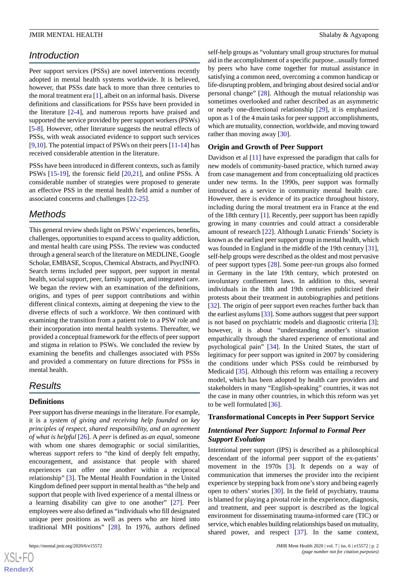## *Introduction*

Peer support services (PSSs) are novel interventions recently adopted in mental health systems worldwide. It is believed, however, that PSSs date back to more than three centuries to the moral treatment era [\[1](#page-7-0)], albeit on an informal basis. Diverse definitions and classifications for PSSs have been provided in the literature [[2](#page-7-1)[-4](#page-7-2)], and numerous reports have praised and supported the service provided by peer support workers (PSWs) [[5](#page-7-3)[-8](#page-7-4)]. However, other literature suggests the neutral effects of PSSs, with weak associated evidence to support such services [[9](#page-7-5)[,10](#page-7-6)]. The potential impact of PSWs on their peers [[11-](#page-7-7)[14](#page-7-8)] has received considerable attention in the literature.

PSSs have been introduced in different contexts, such as family PSWs [\[15](#page-7-9)-[19\]](#page-8-0), the forensic field [\[20](#page-8-1),[21\]](#page-8-2), and online PSSs. A considerable number of strategies were proposed to generate an effective PSS in the mental health field amid a number of associated concerns and challenges [\[22](#page-8-3)[-25](#page-8-4)].

## *Methods*

This general review sheds light on PSWs' experiences, benefits, challenges, opportunities to expand access to quality addiction, and mental health care using PSSs. The review was conducted through a general search of the literature on MEDLINE, Google Scholar, EMBASE, Scopus, Chemical Abstracts, and PsycINFO. Search terms included peer support, peer support in mental health, social support, peer, family support, and integrated care. We began the review with an examination of the definitions, origins, and types of peer support contributions and within different clinical contexts, aiming at deepening the view to the diverse effects of such a workforce. We then continued with examining the transition from a patient role to a PSW role and their incorporation into mental health systems. Thereafter, we provided a conceptual framework for the effects of peer support and stigma in relation to PSWs. We concluded the review by examining the benefits and challenges associated with PSSs and provided a commentary on future directions for PSSs in mental health.

## *Results*

## **Definitions**

Peer support has diverse meanings in the literature. For example, it is a *system of giving and receiving help founded on key principles of respect, shared responsibility, and an agreement of what is helpful* [[26\]](#page-8-5). A *peer* is defined as *an equal*, someone with whom one shares demographic or social similarities, whereas *support* refers to "the kind of deeply felt empathy, encouragement, and assistance that people with shared experiences can offer one another within a reciprocal relationship" [\[3](#page-7-10)]. The Mental Health Foundation in the United Kingdom defined peer support in mental health as "the help and support that people with lived experience of a mental illness or a learning disability can give to one another" [\[27](#page-8-6)]. Peer employees were also defined as "individuals who fill designated unique peer positions as well as peers who are hired into traditional MH positions" [[28\]](#page-8-7). In 1976, authors defined

 $XS$ -FO **[RenderX](http://www.renderx.com/)** self-help groups as "voluntary small group structures for mutual aid in the accomplishment of a specific purpose...usually formed by peers who have come together for mutual assistance in satisfying a common need, overcoming a common handicap or life-disrupting problem, and bringing about desired social and/or personal change" [\[28](#page-8-7)]. Although the mutual relationship was sometimes overlooked and rather described as an asymmetric or nearly one-directional relationship [[29\]](#page-8-8), it is emphasized upon as 1 of the 4 main tasks for peer support accomplishments, which are mutuality, connection, worldwide, and moving toward rather than moving away [[30\]](#page-8-9).

#### **Origin and Growth of Peer Support**

Davidson et al [[11\]](#page-7-7) have expressed the paradigm that calls for new models of community-based practice, which turned away from case management and from conceptualizing old practices under new terms. In the 1990s, peer support was formally introduced as a service in community mental health care. However, there is evidence of its practice throughout history, including during the moral treatment era in France at the end of the 18th century [[1\]](#page-7-0). Recently, peer support has been rapidly growing in many countries and could attract a considerable amount of research [\[22](#page-8-3)]. Although Lunatic Friends'Society is known as the earliest peer support group in mental health, which was founded in England in the middle of the 19th century [[31\]](#page-8-10), self-help groups were described as the oldest and most pervasive of peer support types [[28\]](#page-8-7). Some peer-run groups also formed in Germany in the late 19th century, which protested on involuntary confinement laws. In addition to this, several individuals in the 18th and 19th centuries publicized their protests about their treatment in autobiographies and petitions [[32\]](#page-8-11). The origin of peer support even reaches further back than the earliest asylums [[33](#page-8-12)]. Some authors suggest that peer support is not based on psychiatric models and diagnostic criteria [[3\]](#page-7-10); however, it is about "understanding another's situation empathically through the shared experience of emotional and psychological pain" [\[34](#page-8-13)]. In the United States, the start of legitimacy for peer support was ignited in 2007 by considering the conditions under which PSSs could be reimbursed by Medicaid [[35\]](#page-8-14). Although this reform was entailing a recovery model, which has been adopted by health care providers and stakeholders in many "English-speaking" countries, it was not the case in many other countries, in which this reform was yet to be well formulated [\[36](#page-8-15)].

#### **Transformational Concepts in Peer Support Service**

## *Intentional Peer Support: Informal to Formal Peer Support Evolution*

Intentional peer support (IPS) is described as a philosophical descendant of the informal peer support of the ex-patients' movement in the 1970s [\[3](#page-7-10)]. It depends on a way of communication that immerses the provider into the recipient experience by stepping back from one's story and being eagerly open to others' stories [[30\]](#page-8-9). In the field of psychiatry, trauma is blamed for playing a pivotal role in the experience, diagnosis, and treatment, and peer support is described as the logical environment for disseminating trauma-informed care (TIC) or service, which enables building relationships based on mutuality, shared power, and respect [\[37](#page-8-16)]. In the same context,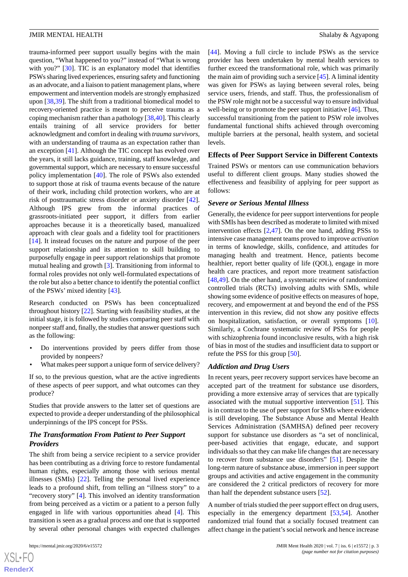trauma-informed peer support usually begins with the main question, "What happened to you?" instead of "What is wrong with you?" [[30\]](#page-8-9). TIC is an explanatory model that identifies PSWs sharing lived experiences, ensuring safety and functioning as an advocate, and a liaison to patient management plans, where empowerment and intervention models are strongly emphasized upon [\[38](#page-8-17),[39\]](#page-8-18). The shift from a traditional biomedical model to recovery-oriented practice is meant to perceive trauma as a coping mechanism rather than a pathology [[38,](#page-8-17)[40](#page-8-19)]. This clearly entails training of all service providers for better acknowledgment and comfort in dealing with *trauma survivors*, with an understanding of trauma as an expectation rather than an exception [\[41](#page-8-20)]. Although the TIC concept has evolved over the years, it still lacks guidance, training, staff knowledge, and governmental support, which are necessary to ensure successful policy implementation [\[40](#page-8-19)]. The role of PSWs also extended to support those at risk of trauma events because of the nature of their work, including child protection workers, who are at risk of posttraumatic stress disorder or anxiety disorder [[42\]](#page-9-0). Although IPS grew from the informal practices of grassroots-initiated peer support, it differs from earlier approaches because it is a theoretically based, manualized approach with clear goals and a fidelity tool for practitioners [[14\]](#page-7-8). It instead focuses on the nature and purpose of the peer support relationship and its attention to skill building to purposefully engage in peer support relationships that promote mutual healing and growth [[3\]](#page-7-10). Transitioning from informal to formal roles provides not only well-formulated expectations of the role but also a better chance to identify the potential conflict of the PSWs' mixed identity [\[43](#page-9-1)].

Research conducted on PSWs has been conceptualized throughout history [\[22](#page-8-3)]. Starting with feasibility studies, at the initial stage, it is followed by studies comparing peer staff with nonpeer staff and, finally, the studies that answer questions such as the following:

- Do interventions provided by peers differ from those provided by nonpeers?
- What makes peer support a unique form of service delivery?

If so, to the previous question, what are the active ingredients of these aspects of peer support, and what outcomes can they produce?

Studies that provide answers to the latter set of questions are expected to provide a deeper understanding of the philosophical underpinnings of the IPS concept for PSSs.

## *The Transformation From Patient to Peer Support Providers*

The shift from being a service recipient to a service provider has been contributing as a driving force to restore fundamental human rights, especially among those with serious mental illnesses (SMIs) [[22\]](#page-8-3). Telling the personal lived experience leads to a profound shift, from telling an "illness story" to a "recovery story" [\[4](#page-7-2)]. This involved an identity transformation from being perceived as a victim or a patient to a person fully engaged in life with various opportunities ahead [\[4](#page-7-2)]. This transition is seen as a gradual process and one that is supported by several other personal changes with expected challenges

[[44\]](#page-9-2). Moving a full circle to include PSWs as the service provider has been undertaken by mental health services to further exceed the transformational role, which was primarily the main aim of providing such a service [\[45\]](#page-9-3). A liminal identity was given for PSWs as laying between several roles, being service users, friends, and staff. Thus, the professionalism of the PSW role might not be a successful way to ensure individual well-being or to promote the peer support initiative [\[46](#page-9-4)]. Thus, successful transitioning from the patient to PSW role involves fundamental functional shifts achieved through overcoming multiple barriers at the personal, health system, and societal levels.

#### **Effects of Peer Support Service in Different Contexts**

Trained PSWs or mentors can use communication behaviors useful to different client groups. Many studies showed the effectiveness and feasibility of applying for peer support as follows:

#### *Severe or Serious Mental Illness*

Generally, the evidence for peer support interventions for people with SMIs has been described as moderate to limited with mixed intervention effects [\[2,](#page-7-1)[47](#page-9-5)]. On the one hand, adding PSSs to intensive case management teams proved to improve *activation* in terms of knowledge, skills, confidence, and attitudes for managing health and treatment. Hence, patients become healthier, report better quality of life (QOL), engage in more health care practices, and report more treatment satisfaction [[48,](#page-9-6)[49\]](#page-9-7). On the other hand, a systematic review of randomized controlled trials (RCTs) involving adults with SMIs, while showing some evidence of positive effects on measures of hope, recovery, and empowerment at and beyond the end of the PSS intervention in this review, did not show any positive effects on hospitalization, satisfaction, or overall symptoms [[10\]](#page-7-6). Similarly, a Cochrane systematic review of PSSs for people with schizophrenia found inconclusive results, with a high risk of bias in most of the studies and insufficient data to support or refute the PSS for this group [[50\]](#page-9-8).

#### *Addiction and Drug Users*

In recent years, peer recovery support services have become an accepted part of the treatment for substance use disorders, providing a more extensive array of services that are typically associated with the mutual supportive intervention [[51\]](#page-9-9). This is in contrast to the use of peer support for SMIs where evidence is still developing. The Substance Abuse and Mental Health Services Administration (SAMHSA) defined peer recovery support for substance use disorders as "a set of nonclinical, peer-based activities that engage, educate, and support individuals so that they can make life changes that are necessary to recover from substance use disorders" [[51\]](#page-9-9). Despite the long-term nature of substance abuse, immersion in peer support groups and activities and active engagement in the community are considered the 2 critical predictors of recovery for more than half the dependent substance users [[52\]](#page-9-10).

A number of trials studied the peer support effect on drug users, especially in the emergency department [[53,](#page-9-11)[54](#page-9-12)]. Another randomized trial found that a socially focused treatment can affect change in the patient's social network and hence increase

 $XS$ -FO **[RenderX](http://www.renderx.com/)**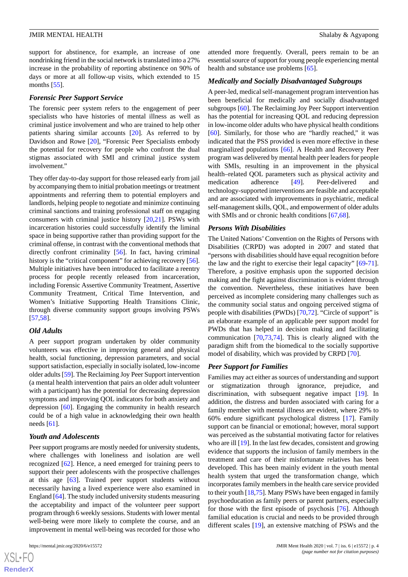support for abstinence, for example, an increase of one nondrinking friend in the social network is translated into a 27% increase in the probability of reporting abstinence on 90% of days or more at all follow-up visits, which extended to 15 months [[55\]](#page-9-13).

#### *Forensic Peer Support Service*

The forensic peer system refers to the engagement of peer specialists who have histories of mental illness as well as criminal justice involvement and who are trained to help other patients sharing similar accounts [\[20](#page-8-1)]. As referred to by Davidson and Rowe [\[20](#page-8-1)], "Forensic Peer Specialists embody the potential for recovery for people who confront the dual stigmas associated with SMI and criminal justice system involvement."

They offer day-to-day support for those released early from jail by accompanying them to initial probation meetings or treatment appointments and referring them to potential employers and landlords, helping people to negotiate and minimize continuing criminal sanctions and training professional staff on engaging consumers with criminal justice history [\[20](#page-8-1),[21\]](#page-8-2). PSWs with incarceration histories could successfully identify the liminal space in being supportive rather than providing support for the criminal offense, in contrast with the conventional methods that directly confront criminality [\[56](#page-9-14)]. In fact, having criminal history is the "critical component" for achieving recovery [[56\]](#page-9-14). Multiple initiatives have been introduced to facilitate a reentry process for people recently released from incarceration, including Forensic Assertive Community Treatment, Assertive Community Treatment, Critical Time Intervention, and Women's Initiative Supporting Health Transitions Clinic, through diverse community support groups involving PSWs [[57](#page-9-15)[,58](#page-9-16)].

## *Old Adults*

A peer support program undertaken by older community volunteers was effective in improving general and physical health, social functioning, depression parameters, and social support satisfaction, especially in socially isolated, low-income older adults [[59](#page-9-17)]. The Reclaiming Joy Peer Support intervention (a mental health intervention that pairs an older adult volunteer with a participant) has the potential for decreasing depression symptoms and improving QOL indicators for both anxiety and depression [\[60](#page-9-18)]. Engaging the community in health research could be of a high value in acknowledging their own health needs [\[61](#page-9-19)].

#### *Youth and Adolescents*

Peer support programs are mostly needed for university students, where challenges with loneliness and isolation are well recognized [[62\]](#page-9-20). Hence, a need emerged for training peers to support their peer adolescents with the prospective challenges at this age [\[63](#page-9-21)]. Trained peer support students without necessarily having a lived experience were also examined in England [[64\]](#page-10-0). The study included university students measuring the acceptability and impact of the volunteer peer support program through 6 weekly sessions. Students with lower mental well-being were more likely to complete the course, and an improvement in mental well-being was recorded for those who

 $XS$ -FO **[RenderX](http://www.renderx.com/)**

attended more frequently. Overall, peers remain to be an essential source of support for young people experiencing mental health and substance use problems [[65\]](#page-10-1).

#### *Medically and Socially Disadvantaged Subgroups*

A peer-led, medical self-management program intervention has been beneficial for medically and socially disadvantaged subgroups [\[60](#page-9-18)]. The Reclaiming Joy Peer Support intervention has the potential for increasing QOL and reducing depression in low-income older adults who have physical health conditions [[60\]](#page-9-18). Similarly, for those who are "hardly reached," it was indicated that the PSS provided is even more effective in these marginalized populations [\[66](#page-10-2)]. A Health and Recovery Peer program was delivered by mental health peer leaders for people with SMIs, resulting in an improvement in the physical health–related QOL parameters such as physical activity and medication adherence [\[49](#page-9-7)]. Peer-delivered technology-supported interventions are feasible and acceptable and are associated with improvements in psychiatric, medical self-management skills, QOL, and empowerment of older adults with SMIs and or chronic health conditions [[67](#page-10-3)[,68](#page-10-4)].

#### *Persons With Disabilities*

The United Nations'Convention on the Rights of Persons with Disabilities (CRPD) was adopted in 2007 and stated that "persons with disabilities should have equal recognition before the law and the right to exercise their legal capacity" [[69-](#page-10-5)[71\]](#page-10-6). Therefore, a positive emphasis upon the supported decision making and the fight against discrimination is evident through the convention. Nevertheless, these initiatives have been perceived as incomplete considering many challenges such as the community social status and ongoing perceived stigma of people with disabilities (PWDs) [[70](#page-10-7)[,72](#page-10-8)]. "Circle of support" is an elaborate example of an applicable peer support model for PWDs that has helped in decision making and facilitating communication [[70,](#page-10-7)[73](#page-10-9),[74\]](#page-10-10). This is clearly aligned with the paradigm shift from the biomedical to the socially supportive model of disability, which was provided by CRPD [[70\]](#page-10-7).

#### *Peer Support for Families*

Families may act either as sources of understanding and support or stigmatization through ignorance, prejudice, and discrimination, with subsequent negative impact [\[19](#page-8-0)]. In addition, the distress and burden associated with caring for a family member with mental illness are evident, where 29% to 60% endure significant psychological distress [[17\]](#page-8-21). Family support can be financial or emotional; however, moral support was perceived as the substantial motivating factor for relatives who are ill [[19\]](#page-8-0). In the last few decades, consistent and growing evidence that supports the inclusion of family members in the treatment and care of their misfortunate relatives has been developed. This has been mainly evident in the youth mental health system that urged the transformation change, which incorporates family members in the health care service provided to their youth  $[18,75]$  $[18,75]$  $[18,75]$  $[18,75]$ . Many PSWs have been engaged in family psychoeducation as family peers or parent partners, especially for those with the first episode of psychosis [\[76](#page-10-12)]. Although familial education is crucial and needs to be provided through different scales [\[19](#page-8-0)], an extensive matching of PSWs and the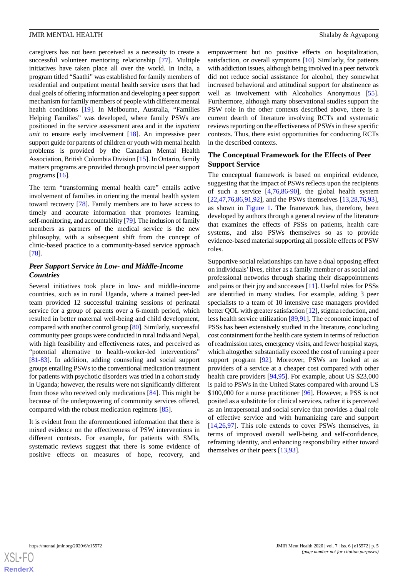caregivers has not been perceived as a necessity to create a successful volunteer mentoring relationship [[77\]](#page-10-13). Multiple initiatives have taken place all over the world. In India, a program titled "Saathi" was established for family members of residential and outpatient mental health service users that had dual goals of offering information and developing a peer support mechanism for family members of people with different mental health conditions [\[19](#page-8-0)]. In Melbourne, Australia, "Families Helping Families" was developed, where family PSWs are positioned in the service assessment area and in the *inpatient unit* to ensure early involvement [[18\]](#page-8-22). An impressive peer support guide for parents of children or youth with mental health problems is provided by the Canadian Mental Health Association, British Colombia Division [\[15](#page-7-9)]. In Ontario, family matters programs are provided through provincial peer support programs [\[16](#page-7-11)].

The term "transforming mental health care" entails active involvement of families in orienting the mental health system toward recovery [[78\]](#page-10-14). Family members are to have access to timely and accurate information that promotes learning, self-monitoring, and accountability [\[79\]](#page-10-15). The inclusion of family members as partners of the medical service is the new philosophy, with a subsequent shift from the concept of clinic-based practice to a community-based service approach [[78\]](#page-10-14).

## *Peer Support Service in Low- and Middle-Income Countries*

Several initiatives took place in low- and middle-income countries, such as in rural Uganda, where a trained peer-led team provided 12 successful training sessions of perinatal service for a group of parents over a 6-month period, which resulted in better maternal well-being and child development, compared with another control group [[80\]](#page-10-16). Similarly, successful community peer groups were conducted in rural India and Nepal, with high feasibility and effectiveness rates, and perceived as "potential alternative to health-worker-led interventions" [[81](#page-10-17)[-83](#page-10-18)]. In addition, adding counseling and social support groups entailing PSWs to the conventional medication treatment for patients with psychotic disorders was tried in a cohort study in Uganda; however, the results were not significantly different from those who received only medications [[84\]](#page-10-19). This might be because of the underpowering of community services offered, compared with the robust medication regimens [\[85](#page-10-20)].

It is evident from the aforementioned information that there is mixed evidence on the effectiveness of PSW interventions in different contexts. For example, for patients with SMIs, systematic reviews suggest that there is some evidence of positive effects on measures of hope, recovery, and

empowerment but no positive effects on hospitalization, satisfaction, or overall symptoms [\[10](#page-7-6)]. Similarly, for patients with addiction issues, although being involved in a peer network did not reduce social assistance for alcohol, they somewhat increased behavioral and attitudinal support for abstinence as well as involvement with Alcoholics Anonymous [[55\]](#page-9-13). Furthermore, although many observational studies support the PSW role in the other contexts described above, there is a current dearth of literature involving RCTs and systematic reviews reporting on the effectiveness of PSWs in these specific contexts. Thus, there exist opportunities for conducting RCTs in the described contexts.

## **The Conceptual Framework for the Effects of Peer Support Service**

The conceptual framework is based on empirical evidence, suggesting that the impact of PSWs reflects upon the recipients of such a service  $[4,76,86-90]$  $[4,76,86-90]$  $[4,76,86-90]$  $[4,76,86-90]$  $[4,76,86-90]$  $[4,76,86-90]$ , the global health system [[22,](#page-8-3)[47,](#page-9-5)[76](#page-10-12)[,86](#page-11-0),[91,](#page-11-2)[92\]](#page-11-3), and the PSWs themselves [\[13](#page-7-12),[28](#page-8-7)[,76](#page-10-12),[93\]](#page-11-4), as shown in [Figure 1](#page-5-0). The framework has, therefore, been developed by authors through a general review of the literature that examines the effects of PSSs on patients, health care systems, and also PSWs themselves so as to provide evidence-based material supporting all possible effects of PSW roles.

Supportive social relationships can have a dual opposing effect on individuals'lives, either as a family member or as social and professional networks through sharing their disappointments and pains or their joy and successes [[11\]](#page-7-7). Useful roles for PSSs are identified in many studies. For example, adding 3 peer specialists to a team of 10 intensive case managers provided better QOL with greater satisfaction [\[12](#page-7-13)], stigma reduction, and less health service utilization [[89](#page-11-5)[,91](#page-11-2)]. The economic impact of PSSs has been extensively studied in the literature, concluding cost containment for the health care system in terms of reduction of readmission rates, emergency visits, and fewer hospital stays, which altogether substantially exceed the cost of running a peer support program [\[92](#page-11-3)]. Moreover, PSWs are looked at as providers of a service at a cheaper cost compared with other health care providers [[94,](#page-11-6)[95](#page-11-7)]. For example, about US \$23,000 is paid to PSWs in the United States compared with around US \$100,000 for a nurse practitioner [\[96](#page-11-8)]. However, a PSS is not posited as a substitute for clinical services, rather it is perceived as an intrapersonal and social service that provides a dual role of effective service and with humanizing care and support [[14,](#page-7-8)[26,](#page-8-5)[97\]](#page-11-9). This role extends to cover PSWs themselves, in terms of improved overall well-being and self-confidence, reframing identity, and enhancing responsibility either toward themselves or their peers [\[13](#page-7-12),[93\]](#page-11-4).

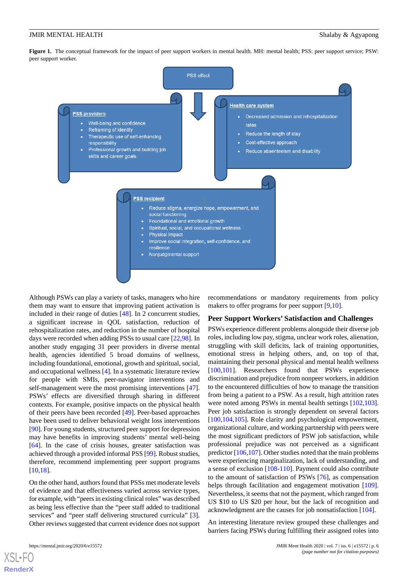<span id="page-5-0"></span>**Figure 1.** The conceptual framework for the impact of peer support workers in mental health. MH: mental health; PSS: peer support service; PSW: peer support worker.



Although PSWs can play a variety of tasks, managers who hire them may want to ensure that improving patient activation is included in their range of duties [[48\]](#page-9-6). In 2 concurrent studies, a significant increase in QOL satisfaction, reduction of rehospitalization rates, and reduction in the number of hospital days were recorded when adding PSSs to usual care [[22](#page-8-3)[,98](#page-11-10)]. In another study engaging 31 peer providers in diverse mental health, agencies identified 5 broad domains of wellness, including foundational, emotional, growth and spiritual, social, and occupational wellness [\[4](#page-7-2)]. In a systematic literature review for people with SMIs, peer-navigator interventions and self-management were the most promising interventions [[47\]](#page-9-5). PSWs' effects are diversified through sharing in different contexts. For example, positive impacts on the physical health of their peers have been recorded [[49\]](#page-9-7). Peer-based approaches have been used to deliver behavioral weight loss interventions [[90\]](#page-11-1). For young students, structured peer support for depression may have benefits in improving students' mental well-being [[64\]](#page-10-0). In the case of crisis houses, greater satisfaction was achieved through a provided informal PSS [[99\]](#page-11-11). Robust studies, therefore, recommend implementing peer support programs [[10](#page-7-6)[,18](#page-8-22)].

On the other hand, authors found that PSSs met moderate levels of evidence and that effectiveness varied across service types, for example, with "peers in existing clinical roles" was described as being less effective than the "peer staff added to traditional services" and "peer staff delivering structured curricula" [[3\]](#page-7-10). Other reviews suggested that current evidence does not support

[XSL](http://www.w3.org/Style/XSL)•FO **[RenderX](http://www.renderx.com/)**

recommendations or mandatory requirements from policy makers to offer programs for peer support [[9](#page-7-5)[,10](#page-7-6)].

#### **Peer Support Workers' Satisfaction and Challenges**

PSWs experience different problems alongside their diverse job roles, including low pay, stigma, unclear work roles, alienation, struggling with skill deficits, lack of training opportunities, emotional stress in helping others, and, on top of that, maintaining their personal physical and mental health wellness [[100](#page-11-12)[,101\]](#page-11-13). Researchers found that PSWs experience discrimination and prejudice from nonpeer workers, in addition to the encountered difficulties of how to manage the transition from being a patient to a PSW. As a result, high attrition rates were noted among PSWs in mental health settings [\[102](#page-11-14),[103\]](#page-11-15). Peer job satisfaction is strongly dependent on several factors [[100](#page-11-12)[,104,](#page-11-16)[105\]](#page-11-17). Role clarity and psychological empowerment, organizational culture, and working partnership with peers were the most significant predictors of PSW job satisfaction, while professional prejudice was not perceived as a significant predictor [[106,](#page-11-18)[107](#page-11-19)]. Other studies noted that the main problems were experiencing marginalization, lack of understanding, and a sense of exclusion [[108-](#page-11-20)[110](#page-11-21)]. Payment could also contribute to the amount of satisfaction of PSWs [\[76](#page-10-12)], as compensation helps through facilitation and engagement motivation [[109\]](#page-11-22). Nevertheless, it seems that not the payment, which ranged from US \$10 to US \$20 per hour, but the lack of recognition and acknowledgment are the causes for job nonsatisfaction [[104\]](#page-11-16).

An interesting literature review grouped these challenges and barriers facing PSWs during fulfilling their assigned roles into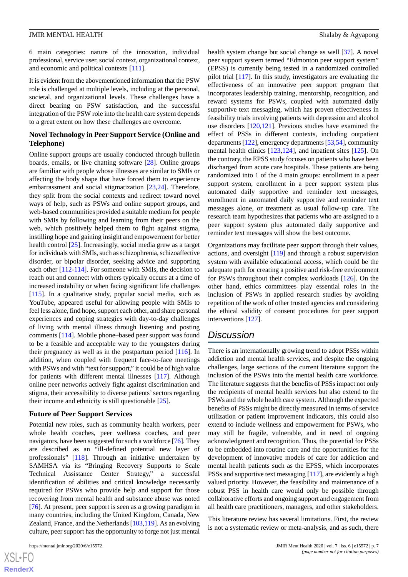6 main categories: nature of the innovation, individual professional, service user, social context, organizational context, and economic and political contexts [\[111](#page-12-0)].

It is evident from the abovementioned information that the PSW role is challenged at multiple levels, including at the personal, societal, and organizational levels. These challenges have a direct bearing on PSW satisfaction, and the successful integration of the PSW role into the health care system depends to a great extent on how these challenges are overcome.

## **Novel Technology in Peer Support Service (Online and Telephone)**

Online support groups are usually conducted through bulletin boards, emails, or live chatting software [\[28](#page-8-7)]. Online groups are familiar with people whose illnesses are similar to SMIs or affecting the body shape that have forced them to experience embarrassment and social stigmatization [\[23](#page-8-23),[24\]](#page-8-24). Therefore, they split from the social contexts and redirect toward novel ways of help, such as PSWs and online support groups, and web-based communities provided a suitable medium for people with SMIs by following and learning from their peers on the web, which positively helped them to fight against stigma, instilling hope and gaining insight and empowerment for better health control [[25\]](#page-8-4). Increasingly, social media grew as a target for individuals with SMIs, such as schizophrenia, schizoaffective disorder, or bipolar disorder, seeking advice and supporting each other [[112](#page-12-1)[-114](#page-12-2)]. For someone with SMIs, the decision to reach out and connect with others typically occurs at a time of increased instability or when facing significant life challenges [[115\]](#page-12-3). In a qualitative study, popular social media, such as YouTube, appeared useful for allowing people with SMIs to feel less alone, find hope, support each other, and share personal experiences and coping strategies with day-to-day challenges of living with mental illness through listening and posting comments [\[114](#page-12-2)]. Mobile phone–based peer support was found to be a feasible and acceptable way to the youngsters during their pregnancy as well as in the postpartum period [\[116](#page-12-4)]. In addition, when coupled with frequent face-to-face meetings with PSWs and with "text for support," it could be of high value for patients with different mental illnesses [\[117\]](#page-12-5). Although online peer networks actively fight against discrimination and stigma, their accessibility to diverse patients' sectors regarding their income and ethnicity is still questionable [[25\]](#page-8-4).

#### **Future of Peer Support Services**

Potential new roles, such as community health workers, peer whole health coaches, peer wellness coaches, and peer navigators, have been suggested for such a workforce [\[76\]](#page-10-12). They are described as an "ill-defined potential new layer of professionals" [[118\]](#page-12-6). Through an initiative undertaken by SAMHSA via its "Bringing Recovery Supports to Scale Technical Assistance Center Strategy," a successful identification of abilities and critical knowledge necessarily required for PSWs who provide help and support for those recovering from mental health and substance abuse was noted [[76\]](#page-10-12). At present, peer support is seen as a growing paradigm in many countries, including the United Kingdom, Canada, New Zealand, France, and the Netherlands [\[103](#page-11-15),[119\]](#page-12-7). As an evolving culture, peer support has the opportunity to forge not just mental

[XSL](http://www.w3.org/Style/XSL)•FO **[RenderX](http://www.renderx.com/)** health system change but social change as well [[37\]](#page-8-16). A novel peer support system termed "Edmonton peer support system" (EPSS) is currently being tested in a randomized controlled pilot trial [[117\]](#page-12-5). In this study, investigators are evaluating the effectiveness of an innovative peer support program that incorporates leadership training, mentorship, recognition, and reward systems for PSWs, coupled with automated daily supportive text messaging, which has proven effectiveness in feasibility trials involving patients with depression and alcohol use disorders [\[120](#page-12-8),[121\]](#page-12-9). Previous studies have examined the effect of PSSs in different contexts, including outpatient departments [\[122\]](#page-12-10), emergency departments [[53,](#page-9-11)[54](#page-9-12)], community mental health clinics [\[123,](#page-12-11)[124](#page-12-12)], and inpatient sites [\[125](#page-12-13)]. On the contrary, the EPSS study focuses on patients who have been discharged from acute care hospitals. These patients are being randomized into 1 of the 4 main groups: enrollment in a peer support system, enrollment in a peer support system plus automated daily supportive and reminder text messages, enrollment in automated daily supportive and reminder text messages alone, or treatment as usual follow-up care. The research team hypothesizes that patients who are assigned to a peer support system plus automated daily supportive and reminder text messages will show the best outcome.

Organizations may facilitate peer support through their values, actions, and oversight [\[119](#page-12-7)] and through a robust supervision system with available educational access, which could be the adequate path for creating a positive and risk-free environment for PSWs throughout their complex workloads [[126\]](#page-12-14). On the other hand, ethics committees play essential roles in the inclusion of PSWs in applied research studies by avoiding repetition of the work of other trusted agencies and considering the ethical validity of consent procedures for peer support interventions [[127](#page-12-15)].

## *Discussion*

There is an internationally growing trend to adopt PSSs within addiction and mental health services, and despite the ongoing challenges, large sections of the current literature support the inclusion of the PSWs into the mental health care workforce. The literature suggests that the benefits of PSSs impact not only the recipients of mental health services but also extend to the PSWs and the whole health care system. Although the expected benefits of PSSs might be directly measured in terms of service utilization or patient improvement indicators, this could also extend to include wellness and empowerment for PSWs, who may still be fragile, vulnerable, and in need of ongoing acknowledgment and recognition. Thus, the potential for PSSs to be embedded into routine care and the opportunities for the development of innovative models of care for addiction and mental health patients such as the EPSS, which incorporates PSSs and supportive text messaging [[117\]](#page-12-5), are evidently a high valued priority. However, the feasibility and maintenance of a robust PSS in health care would only be possible through collaborative efforts and ongoing support and engagement from all health care practitioners, managers, and other stakeholders.

This literature review has several limitations. First, the review is not a systematic review or meta-analysis, and as such, there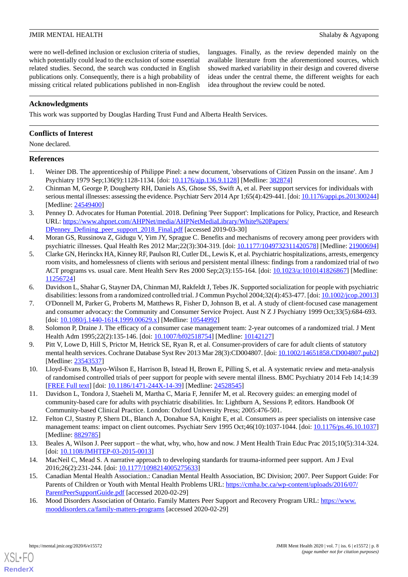were no well-defined inclusion or exclusion criteria of studies, which potentially could lead to the exclusion of some essential related studies. Second, the search was conducted in English publications only. Consequently, there is a high probability of missing critical related publications published in non-English

languages. Finally, as the review depended mainly on the available literature from the aforementioned sources, which showed marked variability in their design and covered diverse ideas under the central theme, the different weights for each idea throughout the review could be noted.

## **Acknowledgments**

This work was supported by Douglas Harding Trust Fund and Alberta Health Services.

## **Conflicts of Interest**

None declared.

## <span id="page-7-0"></span>**References**

- <span id="page-7-1"></span>1. Weiner DB. The apprenticeship of Philippe Pinel: a new document, 'observations of Citizen Pussin on the insane'. Am J Psychiatry 1979 Sep;136(9):1128-1134. [doi: [10.1176/ajp.136.9.1128\]](http://dx.doi.org/10.1176/ajp.136.9.1128) [Medline: [382874\]](http://www.ncbi.nlm.nih.gov/entrez/query.fcgi?cmd=Retrieve&db=PubMed&list_uids=382874&dopt=Abstract)
- <span id="page-7-10"></span>2. Chinman M, George P, Dougherty RH, Daniels AS, Ghose SS, Swift A, et al. Peer support services for individuals with serious mental illnesses: assessing the evidence. Psychiatr Serv 2014 Apr 1;65(4):429-441. [doi: [10.1176/appi.ps.201300244\]](http://dx.doi.org/10.1176/appi.ps.201300244) [Medline: [24549400](http://www.ncbi.nlm.nih.gov/entrez/query.fcgi?cmd=Retrieve&db=PubMed&list_uids=24549400&dopt=Abstract)]
- <span id="page-7-2"></span>3. Penney D. Advocates for Human Potential. 2018. Defining 'Peer Support': Implications for Policy, Practice, and Research URL: [https://www.ahpnet.com/AHPNet/media/AHPNetMediaLibrary/White%20Papers/](https://www.ahpnet.com/AHPNet/media/AHPNetMediaLibrary/White%20Papers/DPenney_Defining_peer_support_2018_Final.pdf) [DPenney\\_Defining\\_peer\\_support\\_2018\\_Final.pdf](https://www.ahpnet.com/AHPNet/media/AHPNetMediaLibrary/White%20Papers/DPenney_Defining_peer_support_2018_Final.pdf) [accessed 2019-03-30]
- <span id="page-7-3"></span>4. Moran GS, Russinova Z, Gidugu V, Yim JY, Sprague C. Benefits and mechanisms of recovery among peer providers with psychiatric illnesses. Qual Health Res 2012 Mar;22(3):304-319. [doi: [10.1177/1049732311420578\]](http://dx.doi.org/10.1177/1049732311420578) [Medline: [21900694](http://www.ncbi.nlm.nih.gov/entrez/query.fcgi?cmd=Retrieve&db=PubMed&list_uids=21900694&dopt=Abstract)]
- 5. Clarke GN, Herinckx HA, Kinney RF, Paulson RI, Cutler DL, Lewis K, et al. Psychiatric hospitalizations, arrests, emergency room visits, and homelessness of clients with serious and persistent mental illness: findings from a randomized trial of two ACT programs vs. usual care. Ment Health Serv Res 2000 Sep;2(3):155-164. [doi: [10.1023/a:1010141826867](http://dx.doi.org/10.1023/a:1010141826867)] [Medline: [11256724](http://www.ncbi.nlm.nih.gov/entrez/query.fcgi?cmd=Retrieve&db=PubMed&list_uids=11256724&dopt=Abstract)]
- 6. Davidson L, Shahar G, Stayner DA, Chinman MJ, Rakfeldt J, Tebes JK. Supported socialization for people with psychiatric disabilities: lessons from a randomized controlled trial. J Commun Psychol 2004;32(4):453-477. [doi: [10.1002/jcop.20013](http://dx.doi.org/10.1002/jcop.20013)]
- <span id="page-7-5"></span><span id="page-7-4"></span>7. O'Donnell M, Parker G, Proberts M, Matthews R, Fisher D, Johnson B, et al. A study of client-focused case management and consumer advocacy: the Community and Consumer Service Project. Aust N Z J Psychiatry 1999 Oct;33(5):684-693. [doi: [10.1080/j.1440-1614.1999.00629.x](http://dx.doi.org/10.1080/j.1440-1614.1999.00629.x)] [Medline: [10544992](http://www.ncbi.nlm.nih.gov/entrez/query.fcgi?cmd=Retrieve&db=PubMed&list_uids=10544992&dopt=Abstract)]
- <span id="page-7-6"></span>8. Solomon P, Draine J. The efficacy of a consumer case management team: 2-year outcomes of a randomized trial. J Ment Health Adm 1995;22(2):135-146. [doi: [10.1007/bf02518754\]](http://dx.doi.org/10.1007/bf02518754) [Medline: [10142127](http://www.ncbi.nlm.nih.gov/entrez/query.fcgi?cmd=Retrieve&db=PubMed&list_uids=10142127&dopt=Abstract)]
- <span id="page-7-7"></span>9. Pitt V, Lowe D, Hill S, Prictor M, Hetrick SE, Ryan R, et al. Consumer-providers of care for adult clients of statutory mental health services. Cochrane Database Syst Rev 2013 Mar 28(3):CD004807. [doi: [10.1002/14651858.CD004807.pub2\]](http://dx.doi.org/10.1002/14651858.CD004807.pub2) [Medline: [23543537](http://www.ncbi.nlm.nih.gov/entrez/query.fcgi?cmd=Retrieve&db=PubMed&list_uids=23543537&dopt=Abstract)]
- <span id="page-7-13"></span>10. Lloyd-Evans B, Mayo-Wilson E, Harrison B, Istead H, Brown E, Pilling S, et al. A systematic review and meta-analysis of randomised controlled trials of peer support for people with severe mental illness. BMC Psychiatry 2014 Feb 14;14:39 [[FREE Full text](https://bmcpsychiatry.biomedcentral.com/articles/10.1186/1471-244X-14-39)] [doi: [10.1186/1471-244X-14-39\]](http://dx.doi.org/10.1186/1471-244X-14-39) [Medline: [24528545\]](http://www.ncbi.nlm.nih.gov/entrez/query.fcgi?cmd=Retrieve&db=PubMed&list_uids=24528545&dopt=Abstract)
- <span id="page-7-12"></span>11. Davidson L, Tondora J, Staeheli M, Martha C, Maria F, Jennifer M, et al. Recovery guides: an emerging model of community-based care for adults with psychiatric disabilities. In: Lightburn A, Sessions P, editors. Handbook Of Community-based Clinical Practice. London: Oxford University Press; 2005:476-501.
- <span id="page-7-9"></span><span id="page-7-8"></span>12. Felton CJ, Stastny P, Shern DL, Blanch A, Donahue SA, Knight E, et al. Consumers as peer specialists on intensive case management teams: impact on client outcomes. Psychiatr Serv 1995 Oct;46(10):1037-1044. [doi: [10.1176/ps.46.10.1037](http://dx.doi.org/10.1176/ps.46.10.1037)] [Medline: [8829785\]](http://www.ncbi.nlm.nih.gov/entrez/query.fcgi?cmd=Retrieve&db=PubMed&list_uids=8829785&dopt=Abstract)
- <span id="page-7-11"></span>13. Beales A, Wilson J. Peer support – the what, why, who, how and now. J Ment Health Train Educ Prac 2015;10(5):314-324. [doi: [10.1108/JMHTEP-03-2015-0013\]](http://dx.doi.org/10.1108/JMHTEP-03-2015-0013)
- 14. MacNeil C, Mead S. A narrative approach to developing standards for trauma-informed peer support. Am J Eval 2016;26(2):231-244. [doi: [10.1177/1098214005275633\]](http://dx.doi.org/10.1177/1098214005275633)
- 15. Canadian Mental Health Association.: Canadian Mental Health Association, BC Division; 2007. Peer Support Guide: For Parents of Children or Youth with Mental Health Problems URL: [https://cmha.bc.ca/wp-content/uploads/2016/07/](https://cmha.bc.ca/wp-content/uploads/2016/07/ParentPeerSupportGuide.pdf) [ParentPeerSupportGuide.pdf](https://cmha.bc.ca/wp-content/uploads/2016/07/ParentPeerSupportGuide.pdf) [accessed 2020-02-29]
- 16. Mood Disorders Association of Ontario. Family Matters Peer Support and Recovery Program URL: [https://www.](https://www.mooddisorders.ca/family-matters-programs) [mooddisorders.ca/family-matters-programs](https://www.mooddisorders.ca/family-matters-programs) [accessed 2020-02-29]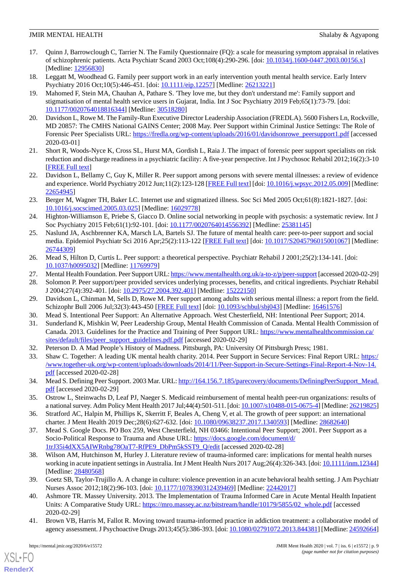- <span id="page-8-21"></span>17. Quinn J, Barrowclough C, Tarrier N. The Family Questionnaire (FQ): a scale for measuring symptom appraisal in relatives of schizophrenic patients. Acta Psychiatr Scand 2003 Oct;108(4):290-296. [doi: [10.1034/j.1600-0447.2003.00156.x\]](http://dx.doi.org/10.1034/j.1600-0447.2003.00156.x) [Medline: [12956830](http://www.ncbi.nlm.nih.gov/entrez/query.fcgi?cmd=Retrieve&db=PubMed&list_uids=12956830&dopt=Abstract)]
- <span id="page-8-22"></span><span id="page-8-0"></span>18. Leggatt M, Woodhead G. Family peer support work in an early intervention youth mental health service. Early Interv Psychiatry 2016 Oct;10(5):446-451. [doi: [10.1111/eip.12257](http://dx.doi.org/10.1111/eip.12257)] [Medline: [26213221\]](http://www.ncbi.nlm.nih.gov/entrez/query.fcgi?cmd=Retrieve&db=PubMed&list_uids=26213221&dopt=Abstract)
- 19. Mahomed F, Stein MA, Chauhan A, Pathare S. 'They love me, but they don't understand me': Family support and stigmatisation of mental health service users in Gujarat, India. Int J Soc Psychiatry 2019 Feb;65(1):73-79. [doi: [10.1177/0020764018816344\]](http://dx.doi.org/10.1177/0020764018816344) [Medline: [30518280\]](http://www.ncbi.nlm.nih.gov/entrez/query.fcgi?cmd=Retrieve&db=PubMed&list_uids=30518280&dopt=Abstract)
- <span id="page-8-1"></span>20. Davidson L, Rowe M. The Family-Run Executive Director Leadership Association (FREDLA). 5600 Fishers Ln, Rockville, MD 20857: The CMHS National GAINS Center; 2008 May. Peer Support within Criminal Justice Settings: The Role of Forensic Peer Specialists URL: [https://fredla.org/wp-content/uploads/2016/01/davidsonrowe\\_peersupport1.pdf](https://fredla.org/wp-content/uploads/2016/01/davidsonrowe_peersupport1.pdf) [accessed] 2020-03-01]
- <span id="page-8-3"></span><span id="page-8-2"></span>21. Short R, Woods-Nyce K, Cross SL, Hurst MA, Gordish L, Raia J. The impact of forensic peer support specialists on risk reduction and discharge readiness in a psychiatric facility: A five-year perspective. Int J Psychosoc Rehabil 2012;16(2):3-10 [[FREE Full text](http://wacodtx.org/wp-content/uploads/2016/09/Clifford-Thurston-1-of-10.pdf)]
- <span id="page-8-23"></span>22. Davidson L, Bellamy C, Guy K, Miller R. Peer support among persons with severe mental illnesses: a review of evidence and experience. World Psychiatry 2012 Jun;11(2):123-128 [[FREE Full text](https://onlinelibrary.wiley.com/resolve/openurl?genre=article&sid=nlm:pubmed&issn=1723-8617&date=2012&volume=11&issue=2&spage=123)] [doi: [10.1016/j.wpsyc.2012.05.009\]](http://dx.doi.org/10.1016/j.wpsyc.2012.05.009) [Medline: [22654945](http://www.ncbi.nlm.nih.gov/entrez/query.fcgi?cmd=Retrieve&db=PubMed&list_uids=22654945&dopt=Abstract)]
- <span id="page-8-24"></span>23. Berger M, Wagner TH, Baker LC. Internet use and stigmatized illness. Soc Sci Med 2005 Oct;61(8):1821-1827. [doi: [10.1016/j.socscimed.2005.03.025](http://dx.doi.org/10.1016/j.socscimed.2005.03.025)] [Medline: [16029778](http://www.ncbi.nlm.nih.gov/entrez/query.fcgi?cmd=Retrieve&db=PubMed&list_uids=16029778&dopt=Abstract)]
- <span id="page-8-4"></span>24. Highton-Williamson E, Priebe S, Giacco D. Online social networking in people with psychosis: a systematic review. Int J Soc Psychiatry 2015 Feb;61(1):92-101. [doi: [10.1177/0020764014556392\]](http://dx.doi.org/10.1177/0020764014556392) [Medline: [25381145](http://www.ncbi.nlm.nih.gov/entrez/query.fcgi?cmd=Retrieve&db=PubMed&list_uids=25381145&dopt=Abstract)]
- <span id="page-8-5"></span>25. Naslund JA, Aschbrenner KA, Marsch LA, Bartels SJ. The future of mental health care: peer-to-peer support and social media. Epidemiol Psychiatr Sci 2016 Apr;25(2):113-122 [\[FREE Full text\]](http://europepmc.org/abstract/MED/26744309) [doi: [10.1017/S2045796015001067\]](http://dx.doi.org/10.1017/S2045796015001067) [Medline: [26744309](http://www.ncbi.nlm.nih.gov/entrez/query.fcgi?cmd=Retrieve&db=PubMed&list_uids=26744309&dopt=Abstract)]
- <span id="page-8-7"></span><span id="page-8-6"></span>26. Mead S, Hilton D, Curtis L. Peer support: a theoretical perspective. Psychiatr Rehabil J 2001;25(2):134-141. [doi: [10.1037/h0095032\]](http://dx.doi.org/10.1037/h0095032) [Medline: [11769979\]](http://www.ncbi.nlm.nih.gov/entrez/query.fcgi?cmd=Retrieve&db=PubMed&list_uids=11769979&dopt=Abstract)
- <span id="page-8-8"></span>27. Mental Health Foundation. Peer Support URL:<https://www.mentalhealth.org.uk/a-to-z/p/peer-support> [accessed 2020-02-29]
- <span id="page-8-9"></span>28. Solomon P. Peer support/peer provided services underlying processes, benefits, and critical ingredients. Psychiatr Rehabil J 2004;27(4):392-401. [doi: [10.2975/27.2004.392.401\]](http://dx.doi.org/10.2975/27.2004.392.401) [Medline: [15222150](http://www.ncbi.nlm.nih.gov/entrez/query.fcgi?cmd=Retrieve&db=PubMed&list_uids=15222150&dopt=Abstract)]
- <span id="page-8-10"></span>29. Davidson L, Chinman M, Sells D, Rowe M. Peer support among adults with serious mental illness: a report from the field. Schizophr Bull 2006 Jul;32(3):443-450 [[FREE Full text](http://europepmc.org/abstract/MED/16461576)] [doi: [10.1093/schbul/sbj043](http://dx.doi.org/10.1093/schbul/sbj043)] [Medline: [16461576\]](http://www.ncbi.nlm.nih.gov/entrez/query.fcgi?cmd=Retrieve&db=PubMed&list_uids=16461576&dopt=Abstract)
- <span id="page-8-11"></span>30. Mead S. Intentional Peer Support: An Alternative Approach. West Chesterfield, NH: Intentional Peer Support; 2014.
- <span id="page-8-12"></span>31. Sunderland K, Mishkin W, Peer Leadership Group, Mental Health Commission of Canada. Mental Health Commission of Canada. 2013. Guidelines for the Practice and Training of Peer Support URL: [https://www.mentalhealthcommission.ca/](https://www.mentalhealthcommission.ca/sites/default/files/peer_support_guidelines.pdf.pdf) [sites/default/files/peer\\_support\\_guidelines.pdf.pdf](https://www.mentalhealthcommission.ca/sites/default/files/peer_support_guidelines.pdf.pdf) [accessed 2020-02-29]
- <span id="page-8-13"></span>32. Peterson D. A Mad People's History of Madness. Pittsburgh, PA: University Of Pittsburgh Press; 1981.
- <span id="page-8-14"></span>33. Shaw C. Together: A leading UK mental health charity. 2014. Peer Support in Secure Services: Final Report URL: [https:/](https://www.together-uk.org/wp-content/uploads/downloads/2014/11/Peer-Support-in-Secure-Settings-Final-Report-4-Nov-14.pdf) [/www.together-uk.org/wp-content/uploads/downloads/2014/11/Peer-Support-in-Secure-Settings-Final-Report-4-Nov-14.](https://www.together-uk.org/wp-content/uploads/downloads/2014/11/Peer-Support-in-Secure-Settings-Final-Report-4-Nov-14.pdf) [pdf](https://www.together-uk.org/wp-content/uploads/downloads/2014/11/Peer-Support-in-Secure-Settings-Final-Report-4-Nov-14.pdf) [accessed 2020-02-28]
- <span id="page-8-16"></span><span id="page-8-15"></span>34. Mead S. Defining Peer Support. 2003 Mar. URL: [http://164.156.7.185/parecovery/documents/DefiningPeerSupport\\_Mead.](http://164.156.7.185/parecovery/documents/DefiningPeerSupport_Mead.pdf) [pdf](http://164.156.7.185/parecovery/documents/DefiningPeerSupport_Mead.pdf) [accessed 2020-02-29]
- 35. Ostrow L, Steinwachs D, Leaf PJ, Naeger S. Medicaid reimbursement of mental health peer-run organizations: results of a national survey. Adm Policy Ment Health 2017 Jul;44(4):501-511. [doi: [10.1007/s10488-015-0675-4](http://dx.doi.org/10.1007/s10488-015-0675-4)] [Medline: [26219825\]](http://www.ncbi.nlm.nih.gov/entrez/query.fcgi?cmd=Retrieve&db=PubMed&list_uids=26219825&dopt=Abstract)
- <span id="page-8-17"></span>36. Stratford AC, Halpin M, Phillips K, Skerritt F, Beales A, Cheng V, et al. The growth of peer support: an international charter. J Ment Health 2019 Dec;28(6):627-632. [doi: [10.1080/09638237.2017.1340593\]](http://dx.doi.org/10.1080/09638237.2017.1340593) [Medline: [28682640](http://www.ncbi.nlm.nih.gov/entrez/query.fcgi?cmd=Retrieve&db=PubMed&list_uids=28682640&dopt=Abstract)]
- <span id="page-8-18"></span>37. Mead S. Google Docs. PO Box 259, West Chesterfield, NH 03466: Intentional Peer Support; 2001. Peer Support as a Socio-Political Response to Trauma and Abuse URL: [https://docs.google.com/document/d/](https://docs.google.com/document/d/1trJ35i4dXX5AIWRnbg78OaT7-RfPE9_DbPm5kSST9_Q/edit) [1trJ35i4dXX5AIWRnbg78OaT7-RfPE9\\_DbPm5kSST9\\_Q/edit](https://docs.google.com/document/d/1trJ35i4dXX5AIWRnbg78OaT7-RfPE9_DbPm5kSST9_Q/edit) [accessed 2020-02-28]
- <span id="page-8-19"></span>38. Wilson AM, Hutchinson M, Hurley J. Literature review of trauma-informed care: implications for mental health nurses working in acute inpatient settings in Australia. Int J Ment Health Nurs 2017 Aug;26(4):326-343. [doi: [10.1111/inm.12344](http://dx.doi.org/10.1111/inm.12344)] [Medline: [28480568](http://www.ncbi.nlm.nih.gov/entrez/query.fcgi?cmd=Retrieve&db=PubMed&list_uids=28480568&dopt=Abstract)]
- <span id="page-8-20"></span>39. Goetz SB, Taylor-Trujillo A. A change in culture: violence prevention in an acute behavioral health setting. J Am Psychiatr Nurses Assoc 2012;18(2):96-103. [doi: [10.1177/1078390312439469\]](http://dx.doi.org/10.1177/1078390312439469) [Medline: [22442017\]](http://www.ncbi.nlm.nih.gov/entrez/query.fcgi?cmd=Retrieve&db=PubMed&list_uids=22442017&dopt=Abstract)
- 40. Ashmore TR. Massey University. 2013. The Implementation of Trauma Informed Care in Acute Mental Health Inpatient Units: A Comparative Study URL: [https://mro.massey.ac.nz/bitstream/handle/10179/5855/02\\_whole.pdf](https://mro.massey.ac.nz/bitstream/handle/10179/5855/02_whole.pdf) [accessed 2020-02-29]
- 41. Brown VB, Harris M, Fallot R. Moving toward trauma-informed practice in addiction treatment: a collaborative model of agency assessment. J Psychoactive Drugs 2013;45(5):386-393. [doi: [10.1080/02791072.2013.844381\]](http://dx.doi.org/10.1080/02791072.2013.844381) [Medline: [24592664](http://www.ncbi.nlm.nih.gov/entrez/query.fcgi?cmd=Retrieve&db=PubMed&list_uids=24592664&dopt=Abstract)]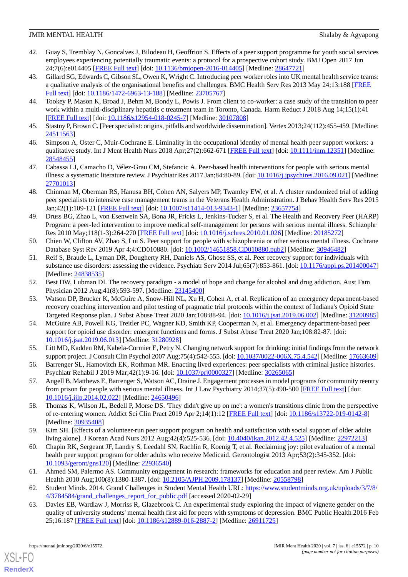- <span id="page-9-0"></span>42. Guay S, Tremblay N, Goncalves J, Bilodeau H, Geoffrion S. Effects of a peer support programme for youth social services employees experiencing potentially traumatic events: a protocol for a prospective cohort study. BMJ Open 2017 Jun 24;7(6):e014405 [\[FREE Full text](http://bmjopen.bmj.com/cgi/pmidlookup?view=long&pmid=28647721)] [doi: [10.1136/bmjopen-2016-014405\]](http://dx.doi.org/10.1136/bmjopen-2016-014405) [Medline: [28647721](http://www.ncbi.nlm.nih.gov/entrez/query.fcgi?cmd=Retrieve&db=PubMed&list_uids=28647721&dopt=Abstract)]
- <span id="page-9-1"></span>43. Gillard SG, Edwards C, Gibson SL, Owen K, Wright C. Introducing peer worker roles into UK mental health service teams: a qualitative analysis of the organisational benefits and challenges. BMC Health Serv Res 2013 May 24;13:188 [\[FREE](https://bmchealthservres.biomedcentral.com/articles/10.1186/1472-6963-13-188) [Full text\]](https://bmchealthservres.biomedcentral.com/articles/10.1186/1472-6963-13-188) [doi: [10.1186/1472-6963-13-188\]](http://dx.doi.org/10.1186/1472-6963-13-188) [Medline: [23705767](http://www.ncbi.nlm.nih.gov/entrez/query.fcgi?cmd=Retrieve&db=PubMed&list_uids=23705767&dopt=Abstract)]
- <span id="page-9-3"></span><span id="page-9-2"></span>44. Tookey P, Mason K, Broad J, Behm M, Bondy L, Powis J. From client to co-worker: a case study of the transition to peer work within a multi-disciplinary hepatitis c treatment team in Toronto, Canada. Harm Reduct J 2018 Aug 14;15(1):41 [[FREE Full text](https://harmreductionjournal.biomedcentral.com/articles/10.1186/s12954-018-0245-7)] [doi: [10.1186/s12954-018-0245-7\]](http://dx.doi.org/10.1186/s12954-018-0245-7) [Medline: [30107808](http://www.ncbi.nlm.nih.gov/entrez/query.fcgi?cmd=Retrieve&db=PubMed&list_uids=30107808&dopt=Abstract)]
- <span id="page-9-4"></span>45. Stastny P, Brown C. [Peer specialist: origins, pitfalls and worldwide dissemination]. Vertex 2013;24(112):455-459. [Medline: [24511563](http://www.ncbi.nlm.nih.gov/entrez/query.fcgi?cmd=Retrieve&db=PubMed&list_uids=24511563&dopt=Abstract)]
- <span id="page-9-5"></span>46. Simpson A, Oster C, Muir-Cochrane E. Liminality in the occupational identity of mental health peer support workers: a qualitative study. Int J Ment Health Nurs 2018 Apr;27(2):662-671 [[FREE Full text](http://europepmc.org/abstract/MED/28548455)] [doi: [10.1111/inm.12351\]](http://dx.doi.org/10.1111/inm.12351) [Medline: [28548455](http://www.ncbi.nlm.nih.gov/entrez/query.fcgi?cmd=Retrieve&db=PubMed&list_uids=28548455&dopt=Abstract)]
- <span id="page-9-6"></span>47. Cabassa LJ, Camacho D, Vélez-Grau CM, Stefancic A. Peer-based health interventions for people with serious mental illness: a systematic literature review. J Psychiatr Res 2017 Jan;84:80-89. [doi: [10.1016/j.jpsychires.2016.09.021](http://dx.doi.org/10.1016/j.jpsychires.2016.09.021)] [Medline: [27701013](http://www.ncbi.nlm.nih.gov/entrez/query.fcgi?cmd=Retrieve&db=PubMed&list_uids=27701013&dopt=Abstract)]
- <span id="page-9-7"></span>48. Chinman M, Oberman RS, Hanusa BH, Cohen AN, Salyers MP, Twamley EW, et al. A cluster randomized trial of adding peer specialists to intensive case management teams in the Veterans Health Administration. J Behav Health Serv Res 2015 Jan;42(1):109-121 [\[FREE Full text\]](http://europepmc.org/abstract/MED/23657754) [doi: [10.1007/s11414-013-9343-1](http://dx.doi.org/10.1007/s11414-013-9343-1)] [Medline: [23657754\]](http://www.ncbi.nlm.nih.gov/entrez/query.fcgi?cmd=Retrieve&db=PubMed&list_uids=23657754&dopt=Abstract)
- <span id="page-9-8"></span>49. Druss BG, Zhao L, von Esenwein SA, Bona JR, Fricks L, Jenkins-Tucker S, et al. The Health and Recovery Peer (HARP) Program: a peer-led intervention to improve medical self-management for persons with serious mental illness. Schizophr Res 2010 May;118(1-3):264-270 [[FREE Full text\]](http://europepmc.org/abstract/MED/20185272) [doi: [10.1016/j.schres.2010.01.026](http://dx.doi.org/10.1016/j.schres.2010.01.026)] [Medline: [20185272](http://www.ncbi.nlm.nih.gov/entrez/query.fcgi?cmd=Retrieve&db=PubMed&list_uids=20185272&dopt=Abstract)]
- <span id="page-9-9"></span>50. Chien W, Clifton AV, Zhao S, Lui S. Peer support for people with schizophrenia or other serious mental illness. Cochrane Database Syst Rev 2019 Apr 4;4:CD010880. [doi: [10.1002/14651858.CD010880.pub2](http://dx.doi.org/10.1002/14651858.CD010880.pub2)] [Medline: [30946482](http://www.ncbi.nlm.nih.gov/entrez/query.fcgi?cmd=Retrieve&db=PubMed&list_uids=30946482&dopt=Abstract)]
- <span id="page-9-11"></span><span id="page-9-10"></span>51. Reif S, Braude L, Lyman DR, Dougherty RH, Daniels AS, Ghose SS, et al. Peer recovery support for individuals with substance use disorders: assessing the evidence. Psychiatr Serv 2014 Jul;65(7):853-861. [doi: [10.1176/appi.ps.201400047](http://dx.doi.org/10.1176/appi.ps.201400047)] [Medline: [24838535](http://www.ncbi.nlm.nih.gov/entrez/query.fcgi?cmd=Retrieve&db=PubMed&list_uids=24838535&dopt=Abstract)]
- 52. Best DW, Lubman DI. The recovery paradigm a model of hope and change for alcohol and drug addiction. Aust Fam Physician 2012 Aug;41(8):593-597. [Medline: [23145400](http://www.ncbi.nlm.nih.gov/entrez/query.fcgi?cmd=Retrieve&db=PubMed&list_uids=23145400&dopt=Abstract)]
- <span id="page-9-12"></span>53. Watson DP, Brucker K, McGuire A, Snow-Hill NL, Xu H, Cohen A, et al. Replication of an emergency department-based recovery coaching intervention and pilot testing of pragmatic trial protocols within the context of Indiana's Opioid State Targeted Response plan. J Subst Abuse Treat 2020 Jan;108:88-94. [doi: [10.1016/j.jsat.2019.06.002\]](http://dx.doi.org/10.1016/j.jsat.2019.06.002) [Medline: [31200985](http://www.ncbi.nlm.nih.gov/entrez/query.fcgi?cmd=Retrieve&db=PubMed&list_uids=31200985&dopt=Abstract)]
- <span id="page-9-14"></span><span id="page-9-13"></span>54. McGuire AB, Powell KG, Treitler PC, Wagner KD, Smith KP, Cooperman N, et al. Emergency department-based peer support for opioid use disorder: emergent functions and forms. J Subst Abuse Treat 2020 Jan;108:82-87. [doi: [10.1016/j.jsat.2019.06.013\]](http://dx.doi.org/10.1016/j.jsat.2019.06.013) [Medline: [31280928](http://www.ncbi.nlm.nih.gov/entrez/query.fcgi?cmd=Retrieve&db=PubMed&list_uids=31280928&dopt=Abstract)]
- <span id="page-9-15"></span>55. Litt MD, Kadden RM, Kabela-Cormier E, Petry N. Changing network support for drinking: initial findings from the network support project. J Consult Clin Psychol 2007 Aug;75(4):542-555. [doi: [10.1037/0022-006X.75.4.542](http://dx.doi.org/10.1037/0022-006X.75.4.542)] [Medline: [17663609\]](http://www.ncbi.nlm.nih.gov/entrez/query.fcgi?cmd=Retrieve&db=PubMed&list_uids=17663609&dopt=Abstract)
- <span id="page-9-16"></span>56. Barrenger SL, Hamovitch EK, Rothman MR. Enacting lived experiences: peer specialists with criminal justice histories. Psychiatr Rehabil J 2019 Mar;42(1):9-16. [doi: [10.1037/prj0000327\]](http://dx.doi.org/10.1037/prj0000327) [Medline: [30265065](http://www.ncbi.nlm.nih.gov/entrez/query.fcgi?cmd=Retrieve&db=PubMed&list_uids=30265065&dopt=Abstract)]
- <span id="page-9-17"></span>57. Angell B, Matthews E, Barrenger S, Watson AC, Draine J. Engagement processes in model programs for community reentry from prison for people with serious mental illness. Int J Law Psychiatry 2014;37(5):490-500 [[FREE Full text](http://europepmc.org/abstract/MED/24650496)] [doi: [10.1016/j.ijlp.2014.02.022\]](http://dx.doi.org/10.1016/j.ijlp.2014.02.022) [Medline: [24650496\]](http://www.ncbi.nlm.nih.gov/entrez/query.fcgi?cmd=Retrieve&db=PubMed&list_uids=24650496&dopt=Abstract)
- <span id="page-9-18"></span>58. Thomas K, Wilson JL, Bedell P, Morse DS. 'They didn't give up on me': a women's transitions clinic from the perspective of re-entering women. Addict Sci Clin Pract 2019 Apr 2;14(1):12 [\[FREE Full text\]](https://ascpjournal.biomedcentral.com/articles/10.1186/s13722-019-0142-8) [doi: [10.1186/s13722-019-0142-8](http://dx.doi.org/10.1186/s13722-019-0142-8)] [Medline: [30935408](http://www.ncbi.nlm.nih.gov/entrez/query.fcgi?cmd=Retrieve&db=PubMed&list_uids=30935408&dopt=Abstract)]
- <span id="page-9-19"></span>59. Kim SH. [Effects of a volunteer-run peer support program on health and satisfaction with social support of older adults living alone]. J Korean Acad Nurs 2012 Aug;42(4):525-536. [doi: [10.4040/jkan.2012.42.4.525\]](http://dx.doi.org/10.4040/jkan.2012.42.4.525) [Medline: [22972213](http://www.ncbi.nlm.nih.gov/entrez/query.fcgi?cmd=Retrieve&db=PubMed&list_uids=22972213&dopt=Abstract)]
- <span id="page-9-21"></span><span id="page-9-20"></span>60. Chapin RK, Sergeant JF, Landry S, Leedahl SN, Rachlin R, Koenig T, et al. Reclaiming joy: pilot evaluation of a mental health peer support program for older adults who receive Medicaid. Gerontologist 2013 Apr;53(2):345-352. [doi: [10.1093/geront/gns120](http://dx.doi.org/10.1093/geront/gns120)] [Medline: [22936540\]](http://www.ncbi.nlm.nih.gov/entrez/query.fcgi?cmd=Retrieve&db=PubMed&list_uids=22936540&dopt=Abstract)
- 61. Ahmed SM, Palermo AS. Community engagement in research: frameworks for education and peer review. Am J Public Health 2010 Aug;100(8):1380-1387. [doi: [10.2105/AJPH.2009.178137\]](http://dx.doi.org/10.2105/AJPH.2009.178137) [Medline: [20558798](http://www.ncbi.nlm.nih.gov/entrez/query.fcgi?cmd=Retrieve&db=PubMed&list_uids=20558798&dopt=Abstract)]
- 62. Student Minds. 2014. Grand Challenges in Student Mental Health URL: [https://www.studentminds.org.uk/uploads/3/7/8/](https://www.studentminds.org.uk/uploads/3/7/8/4/3784584/grand_challenges_report_for_public.pdf) [4/3784584/grand\\_challenges\\_report\\_for\\_public.pdf](https://www.studentminds.org.uk/uploads/3/7/8/4/3784584/grand_challenges_report_for_public.pdf) [accessed 2020-02-29]
- 63. Davies EB, Wardlaw J, Morriss R, Glazebrook C. An experimental study exploring the impact of vignette gender on the quality of university students' mental health first aid for peers with symptoms of depression. BMC Public Health 2016 Feb 25;16:187 [[FREE Full text](https://bmcpublichealth.biomedcentral.com/articles/10.1186/s12889-016-2887-2)] [doi: [10.1186/s12889-016-2887-2\]](http://dx.doi.org/10.1186/s12889-016-2887-2) [Medline: [26911725](http://www.ncbi.nlm.nih.gov/entrez/query.fcgi?cmd=Retrieve&db=PubMed&list_uids=26911725&dopt=Abstract)]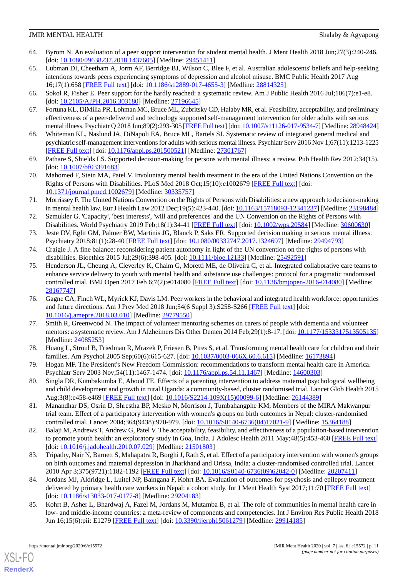- <span id="page-10-0"></span>64. Byrom N. An evaluation of a peer support intervention for student mental health. J Ment Health 2018 Jun;27(3):240-246. [doi: [10.1080/09638237.2018.1437605](http://dx.doi.org/10.1080/09638237.2018.1437605)] [Medline: [29451411\]](http://www.ncbi.nlm.nih.gov/entrez/query.fcgi?cmd=Retrieve&db=PubMed&list_uids=29451411&dopt=Abstract)
- <span id="page-10-1"></span>65. Lubman DI, Cheetham A, Jorm AF, Berridge BJ, Wilson C, Blee F, et al. Australian adolescents' beliefs and help-seeking intentions towards peers experiencing symptoms of depression and alcohol misuse. BMC Public Health 2017 Aug 16;17(1):658 [[FREE Full text\]](https://bmcpublichealth.biomedcentral.com/articles/10.1186/s12889-017-4655-3) [doi: [10.1186/s12889-017-4655-3](http://dx.doi.org/10.1186/s12889-017-4655-3)] [Medline: [28814325](http://www.ncbi.nlm.nih.gov/entrez/query.fcgi?cmd=Retrieve&db=PubMed&list_uids=28814325&dopt=Abstract)]
- <span id="page-10-3"></span><span id="page-10-2"></span>66. Sokol R, Fisher E. Peer support for the hardly reached: a systematic review. Am J Public Health 2016 Jul;106(7):e1-e8. [doi: [10.2105/AJPH.2016.303180](http://dx.doi.org/10.2105/AJPH.2016.303180)] [Medline: [27196645\]](http://www.ncbi.nlm.nih.gov/entrez/query.fcgi?cmd=Retrieve&db=PubMed&list_uids=27196645&dopt=Abstract)
- <span id="page-10-4"></span>67. Fortuna KL, DiMilia PR, Lohman MC, Bruce ML, Zubritsky CD, Halaby MR, et al. Feasibility, acceptability, and preliminary effectiveness of a peer-delivered and technology supported self-management intervention for older adults with serious mental illness. Psychiatr Q 2018 Jun;89(2):293-305 [\[FREE Full text](http://europepmc.org/abstract/MED/28948424)] [doi: [10.1007/s11126-017-9534-7\]](http://dx.doi.org/10.1007/s11126-017-9534-7) [Medline: [28948424\]](http://www.ncbi.nlm.nih.gov/entrez/query.fcgi?cmd=Retrieve&db=PubMed&list_uids=28948424&dopt=Abstract)
- <span id="page-10-5"></span>68. Whiteman KL, Naslund JA, DiNapoli EA, Bruce ML, Bartels SJ. Systematic review of integrated general medical and psychiatric self-management interventions for adults with serious mental illness. Psychiatr Serv 2016 Nov 1;67(11):1213-1225 [[FREE Full text](http://europepmc.org/abstract/MED/27301767)] [doi: [10.1176/appi.ps.201500521\]](http://dx.doi.org/10.1176/appi.ps.201500521) [Medline: [27301767\]](http://www.ncbi.nlm.nih.gov/entrez/query.fcgi?cmd=Retrieve&db=PubMed&list_uids=27301767&dopt=Abstract)
- <span id="page-10-7"></span>69. Pathare S, Shields LS. Supported decision-making for persons with mental illness: a review. Pub Health Rev 2012;34(15). [doi: [10.1007/bf03391683\]](http://dx.doi.org/10.1007/bf03391683)
- <span id="page-10-6"></span>70. Mahomed F, Stein MA, Patel V. Involuntary mental health treatment in the era of the United Nations Convention on the Rights of Persons with Disabilities. PLoS Med 2018 Oct;15(10):e1002679 [\[FREE Full text\]](http://dx.plos.org/10.1371/journal.pmed.1002679) [doi: [10.1371/journal.pmed.1002679](http://dx.doi.org/10.1371/journal.pmed.1002679)] [Medline: [30335757](http://www.ncbi.nlm.nih.gov/entrez/query.fcgi?cmd=Retrieve&db=PubMed&list_uids=30335757&dopt=Abstract)]
- <span id="page-10-8"></span>71. Morrissey F. The United Nations Convention on the Rights of Persons with Disabilities: a new approach to decision-making in mental health law. Eur J Health Law 2012 Dec;19(5):423-440. [doi: [10.1163/15718093-12341237\]](http://dx.doi.org/10.1163/15718093-12341237) [Medline: [23198484](http://www.ncbi.nlm.nih.gov/entrez/query.fcgi?cmd=Retrieve&db=PubMed&list_uids=23198484&dopt=Abstract)]
- <span id="page-10-9"></span>72. Szmukler G. 'Capacity', 'best interests', 'will and preferences' and the UN Convention on the Rights of Persons with Disabilities. World Psychiatry 2019 Feb;18(1):34-41 [[FREE Full text](https://doi.org/10.1002/wps.20584)] [doi: [10.1002/wps.20584\]](http://dx.doi.org/10.1002/wps.20584) [Medline: [30600630](http://www.ncbi.nlm.nih.gov/entrez/query.fcgi?cmd=Retrieve&db=PubMed&list_uids=30600630&dopt=Abstract)]
- <span id="page-10-11"></span><span id="page-10-10"></span>73. Jeste DV, Eglit GM, Palmer BW, Martinis JG, Blanck P, Saks ER. Supported decision making in serious mental illness. Psychiatry 2018;81(1):28-40 [[FREE Full text](http://europepmc.org/abstract/MED/29494793)] [doi: [10.1080/00332747.2017.1324697](http://dx.doi.org/10.1080/00332747.2017.1324697)] [Medline: [29494793](http://www.ncbi.nlm.nih.gov/entrez/query.fcgi?cmd=Retrieve&db=PubMed&list_uids=29494793&dopt=Abstract)]
- 74. Craigie J. A fine balance: reconsidering patient autonomy in light of the UN convention on the rights of persons with disabilities. Bioethics 2015 Jul;29(6):398-405. [doi: [10.1111/bioe.12133](http://dx.doi.org/10.1111/bioe.12133)] [Medline: [25492591](http://www.ncbi.nlm.nih.gov/entrez/query.fcgi?cmd=Retrieve&db=PubMed&list_uids=25492591&dopt=Abstract)]
- <span id="page-10-12"></span>75. Henderson JL, Cheung A, Cleverley K, Chaim G, Moretti ME, de Oliveira C, et al. Integrated collaborative care teams to enhance service delivery to youth with mental health and substance use challenges: protocol for a pragmatic randomised controlled trial. BMJ Open 2017 Feb 6;7(2):e014080 [\[FREE Full text\]](http://bmjopen.bmj.com/cgi/pmidlookup?view=long&pmid=28167747) [doi: [10.1136/bmjopen-2016-014080\]](http://dx.doi.org/10.1136/bmjopen-2016-014080) [Medline: [28167747](http://www.ncbi.nlm.nih.gov/entrez/query.fcgi?cmd=Retrieve&db=PubMed&list_uids=28167747&dopt=Abstract)]
- <span id="page-10-13"></span>76. Gagne CA, Finch WL, Myrick KJ, Davis LM. Peer workers in the behavioral and integrated health workforce: opportunities and future directions. Am J Prev Med 2018 Jun;54(6 Suppl 3):S258-S266 [[FREE Full text](https://linkinghub.elsevier.com/retrieve/pii/S0749-3797(18)31637-4)] [doi: [10.1016/j.amepre.2018.03.010](http://dx.doi.org/10.1016/j.amepre.2018.03.010)] [Medline: [29779550\]](http://www.ncbi.nlm.nih.gov/entrez/query.fcgi?cmd=Retrieve&db=PubMed&list_uids=29779550&dopt=Abstract)
- <span id="page-10-15"></span><span id="page-10-14"></span>77. Smith R, Greenwood N. The impact of volunteer mentoring schemes on carers of people with dementia and volunteer mentors: a systematic review. Am J Alzheimers Dis Other Demen 2014 Feb;29(1):8-17. [doi: [10.1177/1533317513505135](http://dx.doi.org/10.1177/1533317513505135)] [Medline: [24085253](http://www.ncbi.nlm.nih.gov/entrez/query.fcgi?cmd=Retrieve&db=PubMed&list_uids=24085253&dopt=Abstract)]
- <span id="page-10-16"></span>78. Huang L, Stroul B, Friedman R, Mrazek P, Friesen B, Pires S, et al. Transforming mental health care for children and their families. Am Psychol 2005 Sep;60(6):615-627. [doi: [10.1037/0003-066X.60.6.615](http://dx.doi.org/10.1037/0003-066X.60.6.615)] [Medline: [16173894\]](http://www.ncbi.nlm.nih.gov/entrez/query.fcgi?cmd=Retrieve&db=PubMed&list_uids=16173894&dopt=Abstract)
- <span id="page-10-17"></span>79. Hogan MF. The President's New Freedom Commission: recommendations to transform mental health care in America. Psychiatr Serv 2003 Nov;54(11):1467-1474. [doi: [10.1176/appi.ps.54.11.1467\]](http://dx.doi.org/10.1176/appi.ps.54.11.1467) [Medline: [14600303\]](http://www.ncbi.nlm.nih.gov/entrez/query.fcgi?cmd=Retrieve&db=PubMed&list_uids=14600303&dopt=Abstract)
- 80. Singla DR, Kumbakumba E, Aboud FE. Effects of a parenting intervention to address maternal psychological wellbeing and child development and growth in rural Uganda: a community-based, cluster randomised trial. Lancet Glob Health 2015 Aug;3(8):e458-e469 [\[FREE Full text](https://linkinghub.elsevier.com/retrieve/pii/S2214-109X(15)00099-6)] [doi: [10.1016/S2214-109X\(15\)00099-6](http://dx.doi.org/10.1016/S2214-109X(15)00099-6)] [Medline: [26144389\]](http://www.ncbi.nlm.nih.gov/entrez/query.fcgi?cmd=Retrieve&db=PubMed&list_uids=26144389&dopt=Abstract)
- <span id="page-10-18"></span>81. Manandhar DS, Osrin D, Shrestha BP, Mesko N, Morrison J, Tumbahangphe KM, Members of the MIRA Makwanpur trial team. Effect of a participatory intervention with women's groups on birth outcomes in Nepal: cluster-randomised controlled trial. Lancet 2004;364(9438):970-979. [doi: [10.1016/S0140-6736\(04\)17021-9\]](http://dx.doi.org/10.1016/S0140-6736(04)17021-9) [Medline: [15364188](http://www.ncbi.nlm.nih.gov/entrez/query.fcgi?cmd=Retrieve&db=PubMed&list_uids=15364188&dopt=Abstract)]
- <span id="page-10-19"></span>82. Balaji M, Andrews T, Andrew G, Patel V. The acceptability, feasibility, and effectiveness of a population-based intervention to promote youth health: an exploratory study in Goa, India. J Adolesc Health 2011 May;48(5):453-460 [[FREE Full text](http://europepmc.org/abstract/MED/21501803)] [doi: [10.1016/j.jadohealth.2010.07.029\]](http://dx.doi.org/10.1016/j.jadohealth.2010.07.029) [Medline: [21501803](http://www.ncbi.nlm.nih.gov/entrez/query.fcgi?cmd=Retrieve&db=PubMed&list_uids=21501803&dopt=Abstract)]
- <span id="page-10-20"></span>83. Tripathy, Nair N, Barnett S, Mahapatra R, Borghi J, Rath S, et al. Effect of a participatory intervention with women's groups on birth outcomes and maternal depression in Jharkhand and Orissa, India: a cluster-randomised controlled trial. Lancet 2010 Apr 3;375(9721):1182-1192 [\[FREE Full text\]](https://linkinghub.elsevier.com/retrieve/pii/S0140-6736(09)62042-0) [doi: [10.1016/S0140-6736\(09\)62042-0](http://dx.doi.org/10.1016/S0140-6736(09)62042-0)] [Medline: [20207411](http://www.ncbi.nlm.nih.gov/entrez/query.fcgi?cmd=Retrieve&db=PubMed&list_uids=20207411&dopt=Abstract)]
- 84. Jordans MJ, Aldridge L, Luitel NP, Baingana F, Kohrt BA. Evaluation of outcomes for psychosis and epilepsy treatment delivered by primary health care workers in Nepal: a cohort study. Int J Ment Health Syst 2017;11:70 [\[FREE Full text\]](https://ijmhs.biomedcentral.com/articles/10.1186/s13033-017-0177-8) [doi: [10.1186/s13033-017-0177-8](http://dx.doi.org/10.1186/s13033-017-0177-8)] [Medline: [29204183\]](http://www.ncbi.nlm.nih.gov/entrez/query.fcgi?cmd=Retrieve&db=PubMed&list_uids=29204183&dopt=Abstract)
- 85. Kohrt B, Asher L, Bhardwaj A, Fazel M, Jordans M, Mutamba B, et al. The role of communities in mental health care in low- and middle-income countries: a meta-review of components and competencies. Int J Environ Res Public Health 2018 Jun 16;15(6):pii: E1279 [[FREE Full text](http://www.mdpi.com/resolver?pii=ijerph15061279)] [doi: [10.3390/ijerph15061279](http://dx.doi.org/10.3390/ijerph15061279)] [Medline: [29914185\]](http://www.ncbi.nlm.nih.gov/entrez/query.fcgi?cmd=Retrieve&db=PubMed&list_uids=29914185&dopt=Abstract)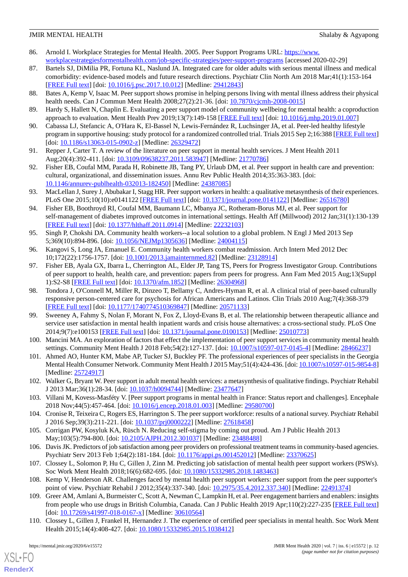- <span id="page-11-0"></span>86. Arnold I. Workplace Strategies for Mental Health. 2005. Peer Support Programs URL: [https://www.](https://www.workplacestrategiesformentalhealth.com/job-specific-strategies/peer-support-programs) [workplacestrategiesformentalhealth.com/job-specific-strategies/peer-support-programs](https://www.workplacestrategiesformentalhealth.com/job-specific-strategies/peer-support-programs) [accessed 2020-02-29]
- 87. Bartels SJ, DiMilia PR, Fortuna KL, Naslund JA. Integrated care for older adults with serious mental illness and medical comorbidity: evidence-based models and future research directions. Psychiatr Clin North Am 2018 Mar;41(1):153-164 [[FREE Full text](http://europepmc.org/abstract/MED/29412843)] [doi: [10.1016/j.psc.2017.10.012\]](http://dx.doi.org/10.1016/j.psc.2017.10.012) [Medline: [29412843\]](http://www.ncbi.nlm.nih.gov/entrez/query.fcgi?cmd=Retrieve&db=PubMed&list_uids=29412843&dopt=Abstract)
- <span id="page-11-5"></span>88. Bates A, Kemp V, Isaac M. Peer support shows promise in helping persons living with mental illness address their physical health needs. Can J Commun Ment Health 2008;27(2):21-36. [doi: [10.7870/cjcmh-2008-0015](http://dx.doi.org/10.7870/cjcmh-2008-0015)]
- <span id="page-11-1"></span>89. Hardy S, Hallett N, Chaplin E. Evaluating a peer support model of community wellbeing for mental health: a coproduction approach to evaluation. Ment Health Prev 2019;13(7):149-158 [[FREE Full text](http://journal.waocp.org/?sid=Entrez:PubMed&id=pmid:22126570&key=2011.12.7.1807)] [doi: [10.1016/j.mhp.2019.01.007](http://dx.doi.org/10.1016/j.mhp.2019.01.007)]
- <span id="page-11-2"></span>90. Cabassa LJ, Stefancic A, O'Hara K, El-Bassel N, Lewis-Fernández R, Luchsinger JA, et al. Peer-led healthy lifestyle program in supportive housing: study protocol for a randomized controlled trial. Trials 2015 Sep 2;16:388 [[FREE Full text](https://trialsjournal.biomedcentral.com/articles/10.1186/s13063-015-0902-z)] [doi: [10.1186/s13063-015-0902-z\]](http://dx.doi.org/10.1186/s13063-015-0902-z) [Medline: [26329472](http://www.ncbi.nlm.nih.gov/entrez/query.fcgi?cmd=Retrieve&db=PubMed&list_uids=26329472&dopt=Abstract)]
- <span id="page-11-3"></span>91. Repper J, Carter T. A review of the literature on peer support in mental health services. J Ment Health 2011 Aug;20(4):392-411. [doi: [10.3109/09638237.2011.583947\]](http://dx.doi.org/10.3109/09638237.2011.583947) [Medline: [21770786\]](http://www.ncbi.nlm.nih.gov/entrez/query.fcgi?cmd=Retrieve&db=PubMed&list_uids=21770786&dopt=Abstract)
- <span id="page-11-4"></span>92. Fisher EB, Coufal MM, Parada H, Robinette JB, Tang PY, Urlaub DM, et al. Peer support in health care and prevention: cultural, organizational, and dissemination issues. Annu Rev Public Health 2014;35:363-383. [doi: [10.1146/annurev-publhealth-032013-182450\]](http://dx.doi.org/10.1146/annurev-publhealth-032013-182450) [Medline: [24387085\]](http://www.ncbi.nlm.nih.gov/entrez/query.fcgi?cmd=Retrieve&db=PubMed&list_uids=24387085&dopt=Abstract)
- <span id="page-11-6"></span>93. MacLellan J, Surey J, Abubakar I, Stagg HR. Peer support workers in health: a qualitative metasynthesis of their experiences. PLoS One 2015;10(10):e0141122 [[FREE Full text](http://dx.plos.org/10.1371/journal.pone.0141122)] [doi: [10.1371/journal.pone.0141122\]](http://dx.doi.org/10.1371/journal.pone.0141122) [Medline: [26516780](http://www.ncbi.nlm.nih.gov/entrez/query.fcgi?cmd=Retrieve&db=PubMed&list_uids=26516780&dopt=Abstract)]
- <span id="page-11-7"></span>94. Fisher EB, Boothroyd RI, Coufal MM, Baumann LC, Mbanya JC, Rotheram-Borus MJ, et al. Peer support for self-management of diabetes improved outcomes in international settings. Health Aff (Millwood) 2012 Jan;31(1):130-139 [[FREE Full text](http://europepmc.org/abstract/MED/22232103)] [doi: [10.1377/hlthaff.2011.0914](http://dx.doi.org/10.1377/hlthaff.2011.0914)] [Medline: [22232103\]](http://www.ncbi.nlm.nih.gov/entrez/query.fcgi?cmd=Retrieve&db=PubMed&list_uids=22232103&dopt=Abstract)
- <span id="page-11-9"></span><span id="page-11-8"></span>95. Singh P, Chokshi DA. Community health workers--a local solution to a global problem. N Engl J Med 2013 Sep 5;369(10):894-896. [doi: [10.1056/NEJMp1305636\]](http://dx.doi.org/10.1056/NEJMp1305636) [Medline: [24004115\]](http://www.ncbi.nlm.nih.gov/entrez/query.fcgi?cmd=Retrieve&db=PubMed&list_uids=24004115&dopt=Abstract)
- 96. Kangovi S, Long JA, Emanuel E. Community health workers combat readmission. Arch Intern Med 2012 Dec 10;172(22):1756-1757. [doi: [10.1001/2013.jamainternmed.82\]](http://dx.doi.org/10.1001/2013.jamainternmed.82) [Medline: [23128914\]](http://www.ncbi.nlm.nih.gov/entrez/query.fcgi?cmd=Retrieve&db=PubMed&list_uids=23128914&dopt=Abstract)
- <span id="page-11-10"></span>97. Fisher EB, Ayala GX, Ibarra L, Cherrington AL, Elder JP, Tang TS, Peers for Progress Investigator Group. Contributions of peer support to health, health care, and prevention: papers from peers for progress. Ann Fam Med 2015 Aug;13(Suppl 1):S2-S8 [[FREE Full text](http://www.annfammed.org/cgi/pmidlookup?view=long&pmid=26304968)] [doi: [10.1370/afm.1852\]](http://dx.doi.org/10.1370/afm.1852) [Medline: [26304968\]](http://www.ncbi.nlm.nih.gov/entrez/query.fcgi?cmd=Retrieve&db=PubMed&list_uids=26304968&dopt=Abstract)
- <span id="page-11-11"></span>98. Tondora J, O'Connell M, Miller R, Dinzeo T, Bellamy C, Andres-Hyman R, et al. A clinical trial of peer-based culturally responsive person-centered care for psychosis for African Americans and Latinos. Clin Trials 2010 Aug;7(4):368-379 [[FREE Full text](http://europepmc.org/abstract/MED/20571133)] [doi: [10.1177/1740774510369847\]](http://dx.doi.org/10.1177/1740774510369847) [Medline: [20571133](http://www.ncbi.nlm.nih.gov/entrez/query.fcgi?cmd=Retrieve&db=PubMed&list_uids=20571133&dopt=Abstract)]
- <span id="page-11-13"></span><span id="page-11-12"></span>99. Sweeney A, Fahmy S, Nolan F, Morant N, Fox Z, Lloyd-Evans B, et al. The relationship between therapeutic alliance and service user satisfaction in mental health inpatient wards and crisis house alternatives: a cross-sectional study. PLoS One 2014;9(7):e100153 [\[FREE Full text](http://dx.plos.org/10.1371/journal.pone.0100153)] [doi: [10.1371/journal.pone.0100153\]](http://dx.doi.org/10.1371/journal.pone.0100153) [Medline: [25010773\]](http://www.ncbi.nlm.nih.gov/entrez/query.fcgi?cmd=Retrieve&db=PubMed&list_uids=25010773&dopt=Abstract)
- <span id="page-11-14"></span>100. Mancini MA. An exploration of factors that effect the implementation of peer support services in community mental health settings. Community Ment Health J 2018 Feb;54(2):127-137. [doi: [10.1007/s10597-017-0145-4](http://dx.doi.org/10.1007/s10597-017-0145-4)] [Medline: [28466237\]](http://www.ncbi.nlm.nih.gov/entrez/query.fcgi?cmd=Retrieve&db=PubMed&list_uids=28466237&dopt=Abstract)
- <span id="page-11-15"></span>101. Ahmed AO, Hunter KM, Mabe AP, Tucker SJ, Buckley PF. The professional experiences of peer specialists in the Georgia Mental Health Consumer Network. Community Ment Health J 2015 May;51(4):424-436. [doi: [10.1007/s10597-015-9854-8\]](http://dx.doi.org/10.1007/s10597-015-9854-8) [Medline: [25724917](http://www.ncbi.nlm.nih.gov/entrez/query.fcgi?cmd=Retrieve&db=PubMed&list_uids=25724917&dopt=Abstract)]
- <span id="page-11-17"></span><span id="page-11-16"></span>102. Walker G, Bryant W. Peer support in adult mental health services: a metasynthesis of qualitative findings. Psychiatr Rehabil J 2013 Mar;36(1):28-34. [doi: [10.1037/h0094744](http://dx.doi.org/10.1037/h0094744)] [Medline: [23477647](http://www.ncbi.nlm.nih.gov/entrez/query.fcgi?cmd=Retrieve&db=PubMed&list_uids=23477647&dopt=Abstract)]
- <span id="page-11-18"></span>103. Villani M, Kovess-Masféty V. [Peer support programs in mental health in France: Status report and challenges]. Encephale 2018 Nov;44(5):457-464. [doi: [10.1016/j.encep.2018.01.003](http://dx.doi.org/10.1016/j.encep.2018.01.003)] [Medline: [29580700](http://www.ncbi.nlm.nih.gov/entrez/query.fcgi?cmd=Retrieve&db=PubMed&list_uids=29580700&dopt=Abstract)]
- <span id="page-11-19"></span>104. Cronise R, Teixeira C, Rogers ES, Harrington S. The peer support workforce: results of a national survey. Psychiatr Rehabil J 2016 Sep;39(3):211-221. [doi: [10.1037/prj0000222\]](http://dx.doi.org/10.1037/prj0000222) [Medline: [27618458](http://www.ncbi.nlm.nih.gov/entrez/query.fcgi?cmd=Retrieve&db=PubMed&list_uids=27618458&dopt=Abstract)]
- <span id="page-11-20"></span>105. Corrigan PW, Kosyluk KA, Rüsch N. Reducing self-stigma by coming out proud. Am J Public Health 2013 May;103(5):794-800. [doi: [10.2105/AJPH.2012.301037\]](http://dx.doi.org/10.2105/AJPH.2012.301037) [Medline: [23488488\]](http://www.ncbi.nlm.nih.gov/entrez/query.fcgi?cmd=Retrieve&db=PubMed&list_uids=23488488&dopt=Abstract)
- <span id="page-11-22"></span>106. Davis JK. Predictors of job satisfaction among peer providers on professional treatment teams in community-based agencies. Psychiatr Serv 2013 Feb 1;64(2):181-184. [doi: [10.1176/appi.ps.001452012](http://dx.doi.org/10.1176/appi.ps.001452012)] [Medline: [23370625](http://www.ncbi.nlm.nih.gov/entrez/query.fcgi?cmd=Retrieve&db=PubMed&list_uids=23370625&dopt=Abstract)]
- <span id="page-11-21"></span>107. Clossey L, Solomon P, Hu C, Gillen J, Zinn M. Predicting job satisfaction of mental health peer support workers (PSWs). Soc Work Ment Health 2018;16(6):682-695. [doi: [10.1080/15332985.2018.1483463\]](http://dx.doi.org/10.1080/15332985.2018.1483463)
- 108. Kemp V, Henderson AR. Challenges faced by mental health peer support workers: peer support from the peer supporter's point of view. Psychiatr Rehabil J 2012;35(4):337-340. [doi: [10.2975/35.4.2012.337.340\]](http://dx.doi.org/10.2975/35.4.2012.337.340) [Medline: [22491374\]](http://www.ncbi.nlm.nih.gov/entrez/query.fcgi?cmd=Retrieve&db=PubMed&list_uids=22491374&dopt=Abstract)
- 109. Greer AM, Amlani A, Burmeister C, Scott A, Newman C, Lampkin H, et al. Peer engagement barriers and enablers: insights from people who use drugs in British Columbia, Canada. Can J Public Health 2019 Apr;110(2):227-235 [[FREE Full text](http://europepmc.org/abstract/MED/30610564)] [doi: [10.17269/s41997-018-0167-x](http://dx.doi.org/10.17269/s41997-018-0167-x)] [Medline: [30610564\]](http://www.ncbi.nlm.nih.gov/entrez/query.fcgi?cmd=Retrieve&db=PubMed&list_uids=30610564&dopt=Abstract)
- 110. Clossey L, Gillen J, Frankel H, Hernandez J. The experience of certified peer specialists in mental health. Soc Work Ment Health 2015;14(4):408-427. [doi: [10.1080/15332985.2015.1038412\]](http://dx.doi.org/10.1080/15332985.2015.1038412)

 $XS$  • FO **[RenderX](http://www.renderx.com/)**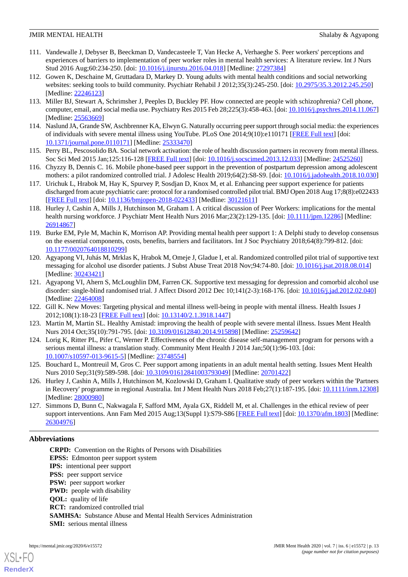- <span id="page-12-0"></span>111. Vandewalle J, Debyser B, Beeckman D, Vandecasteele T, Van Hecke A, Verhaeghe S. Peer workers' perceptions and experiences of barriers to implementation of peer worker roles in mental health services: A literature review. Int J Nurs Stud 2016 Aug;60:234-250. [doi: [10.1016/j.ijnurstu.2016.04.018\]](http://dx.doi.org/10.1016/j.ijnurstu.2016.04.018) [Medline: [27297384\]](http://www.ncbi.nlm.nih.gov/entrez/query.fcgi?cmd=Retrieve&db=PubMed&list_uids=27297384&dopt=Abstract)
- <span id="page-12-1"></span>112. Gowen K, Deschaine M, Gruttadara D, Markey D. Young adults with mental health conditions and social networking websites: seeking tools to build community. Psychiatr Rehabil J 2012;35(3):245-250. [doi: [10.2975/35.3.2012.245.250](http://dx.doi.org/10.2975/35.3.2012.245.250)] [Medline: [22246123](http://www.ncbi.nlm.nih.gov/entrez/query.fcgi?cmd=Retrieve&db=PubMed&list_uids=22246123&dopt=Abstract)]
- <span id="page-12-2"></span>113. Miller BJ, Stewart A, Schrimsher J, Peeples D, Buckley PF. How connected are people with schizophrenia? Cell phone, computer, email, and social media use. Psychiatry Res 2015 Feb 28;225(3):458-463. [doi: [10.1016/j.psychres.2014.11.067](http://dx.doi.org/10.1016/j.psychres.2014.11.067)] [Medline: [25563669](http://www.ncbi.nlm.nih.gov/entrez/query.fcgi?cmd=Retrieve&db=PubMed&list_uids=25563669&dopt=Abstract)]
- <span id="page-12-3"></span>114. Naslund JA, Grande SW, Aschbrenner KA, Elwyn G. Naturally occurring peer support through social media: the experiences of individuals with severe mental illness using YouTube. PLoS One 2014;9(10):e110171 [\[FREE Full text\]](http://dx.plos.org/10.1371/journal.pone.0110171) [doi: [10.1371/journal.pone.0110171\]](http://dx.doi.org/10.1371/journal.pone.0110171) [Medline: [25333470](http://www.ncbi.nlm.nih.gov/entrez/query.fcgi?cmd=Retrieve&db=PubMed&list_uids=25333470&dopt=Abstract)]
- <span id="page-12-4"></span>115. Perry BL, Pescosolido BA. Social network activation: the role of health discussion partners in recovery from mental illness. Soc Sci Med 2015 Jan;125:116-128 [[FREE Full text](http://europepmc.org/abstract/MED/24525260)] [doi: [10.1016/j.socscimed.2013.12.033](http://dx.doi.org/10.1016/j.socscimed.2013.12.033)] [Medline: [24525260\]](http://www.ncbi.nlm.nih.gov/entrez/query.fcgi?cmd=Retrieve&db=PubMed&list_uids=24525260&dopt=Abstract)
- <span id="page-12-5"></span>116. Chyzzy B, Dennis C. 16. Mobile phone-based peer support in the prevention of postpartum depression among adolescent mothers: a pilot randomized controlled trial. J Adolesc Health 2019;64(2):S8-S9. [doi: [10.1016/j.jadohealth.2018.10.030](http://dx.doi.org/10.1016/j.jadohealth.2018.10.030)]
- <span id="page-12-6"></span>117. Urichuk L, Hrabok M, Hay K, Spurvey P, Sosdjan D, Knox M, et al. Enhancing peer support experience for patients discharged from acute psychiatric care: protocol for a randomised controlled pilot trial. BMJ Open 2018 Aug 17;8(8):e022433 [[FREE Full text](http://bmjopen.bmj.com/cgi/pmidlookup?view=long&pmid=30121611)] [doi: [10.1136/bmjopen-2018-022433](http://dx.doi.org/10.1136/bmjopen-2018-022433)] [Medline: [30121611](http://www.ncbi.nlm.nih.gov/entrez/query.fcgi?cmd=Retrieve&db=PubMed&list_uids=30121611&dopt=Abstract)]
- <span id="page-12-7"></span>118. Hurley J, Cashin A, Mills J, Hutchinson M, Graham I. A critical discussion of Peer Workers: implications for the mental health nursing workforce. J Psychiatr Ment Health Nurs 2016 Mar; 23(2):129-135. [doi: [10.1111/jpm.12286](http://dx.doi.org/10.1111/jpm.12286)] [Medline: [26914867](http://www.ncbi.nlm.nih.gov/entrez/query.fcgi?cmd=Retrieve&db=PubMed&list_uids=26914867&dopt=Abstract)]
- <span id="page-12-8"></span>119. Burke EM, Pyle M, Machin K, Morrison AP. Providing mental health peer support 1: A Delphi study to develop consensus on the essential components, costs, benefits, barriers and facilitators. Int J Soc Psychiatry 2018;64(8):799-812. [doi: [10.1177/0020764018810299\]](http://dx.doi.org/10.1177/0020764018810299)
- <span id="page-12-9"></span>120. Agyapong VI, Juhás M, Mrklas K, Hrabok M, Omeje J, Gladue I, et al. Randomized controlled pilot trial of supportive text messaging for alcohol use disorder patients. J Subst Abuse Treat 2018 Nov;94:74-80. [doi: [10.1016/j.jsat.2018.08.014\]](http://dx.doi.org/10.1016/j.jsat.2018.08.014) [Medline: [30243421](http://www.ncbi.nlm.nih.gov/entrez/query.fcgi?cmd=Retrieve&db=PubMed&list_uids=30243421&dopt=Abstract)]
- <span id="page-12-11"></span><span id="page-12-10"></span>121. Agyapong VI, Ahern S, McLoughlin DM, Farren CK. Supportive text messaging for depression and comorbid alcohol use disorder: single-blind randomised trial. J Affect Disord 2012 Dec 10;141(2-3):168-176. [doi: [10.1016/j.jad.2012.02.040\]](http://dx.doi.org/10.1016/j.jad.2012.02.040) [Medline: [22464008](http://www.ncbi.nlm.nih.gov/entrez/query.fcgi?cmd=Retrieve&db=PubMed&list_uids=22464008&dopt=Abstract)]
- <span id="page-12-12"></span>122. Gill K. New Moves: Targeting physical and mental illness well-being in people with mental illness. Health Issues J 2012;108(1):18-23 [[FREE Full text](https://www.researchgate.net/publication/264547577_New_Moves_Targeting_physical_and_mental_illness_well-being_in_people_with_mental_illness)] [doi: [10.13140/2.1.3918.1447](http://dx.doi.org/10.13140/2.1.3918.1447)]
- <span id="page-12-13"></span>123. Martin M, Martin SL. Healthy Amistad: improving the health of people with severe mental illness. Issues Ment Health Nurs 2014 Oct;35(10):791-795. [doi: [10.3109/01612840.2014.915898\]](http://dx.doi.org/10.3109/01612840.2014.915898) [Medline: [25259642](http://www.ncbi.nlm.nih.gov/entrez/query.fcgi?cmd=Retrieve&db=PubMed&list_uids=25259642&dopt=Abstract)]
- <span id="page-12-14"></span>124. Lorig K, Ritter PL, Pifer C, Werner P. Effectiveness of the chronic disease self-management program for persons with a serious mental illness: a translation study. Community Ment Health J 2014 Jan;50(1):96-103. [doi: [10.1007/s10597-013-9615-5\]](http://dx.doi.org/10.1007/s10597-013-9615-5) [Medline: [23748554](http://www.ncbi.nlm.nih.gov/entrez/query.fcgi?cmd=Retrieve&db=PubMed&list_uids=23748554&dopt=Abstract)]
- <span id="page-12-15"></span>125. Bouchard L, Montreuil M, Gros C. Peer support among inpatients in an adult mental health setting. Issues Ment Health Nurs 2010 Sep;31(9):589-598. [doi: [10.3109/01612841003793049](http://dx.doi.org/10.3109/01612841003793049)] [Medline: [20701422\]](http://www.ncbi.nlm.nih.gov/entrez/query.fcgi?cmd=Retrieve&db=PubMed&list_uids=20701422&dopt=Abstract)
- 126. Hurley J, Cashin A, Mills J, Hutchinson M, Kozlowski D, Graham I. Qualitative study of peer workers within the 'Partners in Recovery' programme in regional Australia. Int J Ment Health Nurs 2018 Feb; 27(1):187-195. [doi: [10.1111/inm.12308](http://dx.doi.org/10.1111/inm.12308)] [Medline: [28000980](http://www.ncbi.nlm.nih.gov/entrez/query.fcgi?cmd=Retrieve&db=PubMed&list_uids=28000980&dopt=Abstract)]
- 127. Simmons D, Bunn C, Nakwagala F, Safford MM, Ayala GX, Riddell M, et al. Challenges in the ethical review of peer support interventions. Ann Fam Med 2015 Aug;13(Suppl 1):S79-S86 [[FREE Full text\]](http://www.annfammed.org/cgi/pmidlookup?view=long&pmid=26304976) [doi: [10.1370/afm.1803\]](http://dx.doi.org/10.1370/afm.1803) [Medline: [26304976](http://www.ncbi.nlm.nih.gov/entrez/query.fcgi?cmd=Retrieve&db=PubMed&list_uids=26304976&dopt=Abstract)]

## **Abbreviations**

**CRPD:** Convention on the Rights of Persons with Disabilities **EPSS:** Edmonton peer support system **IPS:** intentional peer support **PSS:** peer support service **PSW:** peer support worker **PWD:** people with disability **QOL:** quality of life **RCT:** randomized controlled trial **SAMHSA:** Substance Abuse and Mental Health Services Administration **SMI:** serious mental illness